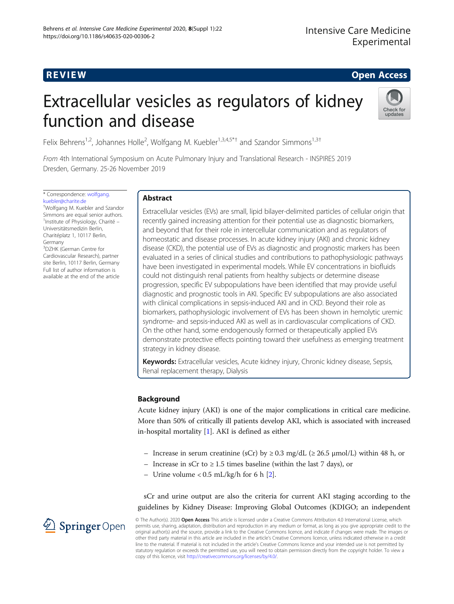# **REVIEW CONSTRUCTION CONSTRUCTION CONSTRUCTS**

# Extracellular vesicles as regulators of kidney function and disease



Felix Behrens<sup>1,2</sup>, Johannes Holle<sup>2</sup>, Wolfgang M. Kuebler<sup>1,3,4,5\*†</sup> and Szandor Simmons<sup>1,3†</sup>

From 4th International Symposium on Acute Pulmonary Injury and Translational Research - INSPIRES 2019 Dresden, Germany. 25-26 November 2019

\* Correspondence: [wolfgang.](mailto:wolfgang.kuebler@charite.de) [kuebler@charite.de](mailto:wolfgang.kuebler@charite.de)

† Wolfgang M. Kuebler and Szandor Simmons are equal senior authors. <sup>1</sup>Institute of Physiology, Charité -Universitätsmedizin Berlin, Charitéplatz 1, 10117 Berlin, Germany 3 DZHK (German Centre for

Cardiovascular Research), partner site Berlin, 10117 Berlin, Germany Full list of author information is available at the end of the article

# Abstract

Extracellular vesicles (EVs) are small, lipid bilayer-delimited particles of cellular origin that recently gained increasing attention for their potential use as diagnostic biomarkers, and beyond that for their role in intercellular communication and as regulators of homeostatic and disease processes. In acute kidney injury (AKI) and chronic kidney disease (CKD), the potential use of EVs as diagnostic and prognostic markers has been evaluated in a series of clinical studies and contributions to pathophysiologic pathways have been investigated in experimental models. While EV concentrations in biofluids could not distinguish renal patients from healthy subjects or determine disease progression, specific EV subpopulations have been identified that may provide useful diagnostic and prognostic tools in AKI. Specific EV subpopulations are also associated with clinical complications in sepsis-induced AKI and in CKD. Beyond their role as biomarkers, pathophysiologic involvement of EVs has been shown in hemolytic uremic syndrome- and sepsis-induced AKI as well as in cardiovascular complications of CKD. On the other hand, some endogenously formed or therapeutically applied EVs demonstrate protective effects pointing toward their usefulness as emerging treatment strategy in kidney disease.

Keywords: Extracellular vesicles, Acute kidney injury, Chronic kidney disease, Sepsis, Renal replacement therapy, Dialysis

# Background

Acute kidney injury (AKI) is one of the major complications in critical care medicine. More than 50% of critically ill patients develop AKI, which is associated with increased in-hospital mortality [[1\]](#page-20-0). AKI is defined as either

- Increase in serum creatinine (sCr) by  $\geq$  0.3 mg/dL ( $\geq$  26.5 µmol/L) within 48 h, or
- Increase in sCr to  $\geq 1.5$  times baseline (within the last 7 days), or
- Urine volume  $< 0.5$  mL/kg/h for 6 h [\[2](#page-20-0)].

sCr and urine output are also the criteria for current AKI staging according to the guidelines by Kidney Disease: Improving Global Outcomes (KDIGO; an independent

© The Author(s). 2020 Open Access This article is licensed under a Creative Commons Attribution 4.0 International License, which permits use, sharing, adaptation, distribution and reproduction in any medium or format, as long as you give appropriate credit to the original author(s) and the source, provide a link to the Creative Commons licence, and indicate if changes were made. The images or other third party material in this article are included in the article's Creative Commons licence, unless indicated otherwise in a credit line to the material. If material is not included in the article's Creative Commons licence and your intended use is not permitted by statutory regulation or exceeds the permitted use, you will need to obtain permission directly from the copyright holder. To view a copy of this licence, visit <http://creativecommons.org/licenses/by/4.0/>.

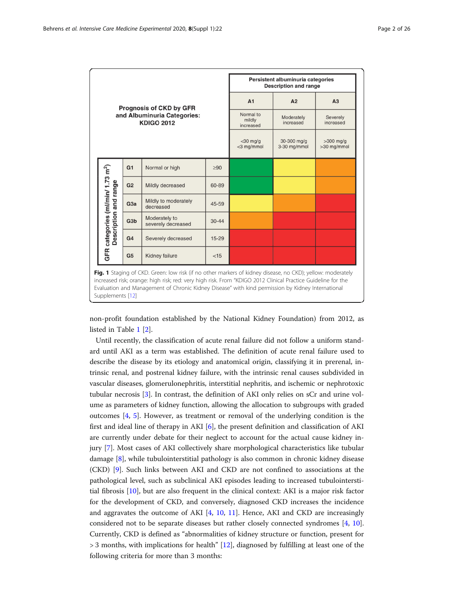<span id="page-1-0"></span>

|                                                                                                                                                                                                                                                                                                                                                     |                  | Persistent albuminuria categories<br><b>Description and range</b> |                                  |                             |                            |  |
|-----------------------------------------------------------------------------------------------------------------------------------------------------------------------------------------------------------------------------------------------------------------------------------------------------------------------------------------------------|------------------|-------------------------------------------------------------------|----------------------------------|-----------------------------|----------------------------|--|
| <b>Prognosis of CKD by GFR</b><br>and Albuminuria Categories:<br><b>KDIGO 2012</b>                                                                                                                                                                                                                                                                  |                  |                                                                   | A1                               | A2                          | A <sub>3</sub>             |  |
|                                                                                                                                                                                                                                                                                                                                                     |                  |                                                                   | Normal to<br>mildly<br>increased | Moderately<br>increased     | Severely<br>increased      |  |
|                                                                                                                                                                                                                                                                                                                                                     |                  |                                                                   | $<$ 30 mg/g<br><3 mg/mmol        | 30-300 mg/g<br>3-30 mg/mmol | $>300$ mg/g<br>>30 mg/mmol |  |
|                                                                                                                                                                                                                                                                                                                                                     | G <sub>1</sub>   | Normal or high                                                    | $\geq 90$                        |                             |                            |  |
| GFR categories (ml/min/ 1.73 m <sup>2</sup> )<br>Description and range                                                                                                                                                                                                                                                                              | G <sub>2</sub>   | Mildly decreased                                                  | 60-89                            |                             |                            |  |
|                                                                                                                                                                                                                                                                                                                                                     | G <sub>3a</sub>  | Mildly to moderately<br>decreased                                 | 45-59                            |                             |                            |  |
|                                                                                                                                                                                                                                                                                                                                                     | G <sub>3</sub> b | Moderately to<br>severely decreased                               | $30 - 44$                        |                             |                            |  |
|                                                                                                                                                                                                                                                                                                                                                     | G <sub>4</sub>   | Severely decreased                                                | $15 - 29$                        |                             |                            |  |
|                                                                                                                                                                                                                                                                                                                                                     | G <sub>5</sub>   | Kidney failure                                                    | $<$ 15                           |                             |                            |  |
| Fig. 1 Staging of CKD. Green: low risk (if no other markers of kidney disease, no CKD); yellow: moderately<br>increased risk; orange: high risk; red: very high risk. From "KDIGO 2012 Clinical Practice Guideline for the<br>Evaluation and Management of Chronic Kidney Disease" with kind permission by Kidney International<br>Supplements [12] |                  |                                                                   |                                  |                             |                            |  |

non-profit foundation established by the National Kidney Foundation) from 2012, as listed in Table [1](#page-3-0) [\[2](#page-20-0)].

Until recently, the classification of acute renal failure did not follow a uniform standard until AKI as a term was established. The definition of acute renal failure used to describe the disease by its etiology and anatomical origin, classifying it in prerenal, intrinsic renal, and postrenal kidney failure, with the intrinsic renal causes subdivided in vascular diseases, glomerulonephritis, interstitial nephritis, and ischemic or nephrotoxic tubular necrosis [[3\]](#page-20-0). In contrast, the definition of AKI only relies on sCr and urine volume as parameters of kidney function, allowing the allocation to subgroups with graded outcomes  $[4, 5]$  $[4, 5]$  $[4, 5]$ . However, as treatment or removal of the underlying condition is the first and ideal line of therapy in AKI [[6\]](#page-20-0), the present definition and classification of AKI are currently under debate for their neglect to account for the actual cause kidney injury [[7\]](#page-20-0). Most cases of AKI collectively share morphological characteristics like tubular damage [\[8\]](#page-20-0), while tubulointerstitial pathology is also common in chronic kidney disease (CKD) [\[9](#page-20-0)]. Such links between AKI and CKD are not confined to associations at the pathological level, such as subclinical AKI episodes leading to increased tubulointerstitial fibrosis [\[10](#page-20-0)], but are also frequent in the clinical context: AKI is a major risk factor for the development of CKD, and conversely, diagnosed CKD increases the incidence and aggravates the outcome of AKI [\[4](#page-20-0), [10,](#page-20-0) [11](#page-20-0)]. Hence, AKI and CKD are increasingly considered not to be separate diseases but rather closely connected syndromes [[4,](#page-20-0) [10](#page-20-0)]. Currently, CKD is defined as "abnormalities of kidney structure or function, present for  $>$  3 months, with implications for health" [\[12](#page-20-0)], diagnosed by fulfilling at least one of the following criteria for more than 3 months: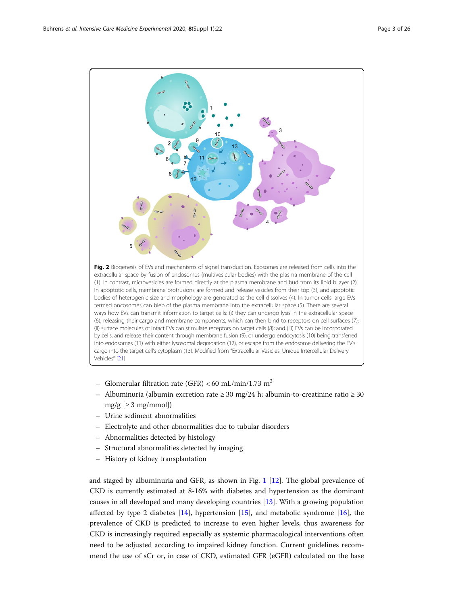<span id="page-2-0"></span>

- Glomerular filtration rate (GFR) < 60 mL/min/1.73 m<sup>2</sup>
- Albuminuria (albumin excretion rate ≥ 30 mg/24 h; albumin-to-creatinine ratio ≥ 30 mg/g  $[≥ 3 mg/mmol]$
- Urine sediment abnormalities
- Electrolyte and other abnormalities due to tubular disorders
- Abnormalities detected by histology
- Structural abnormalities detected by imaging
- History of kidney transplantation

and staged by albuminuria and GFR, as shown in Fig. [1](#page-1-0) [\[12](#page-20-0)]. The global prevalence of CKD is currently estimated at 8-16% with diabetes and hypertension as the dominant causes in all developed and many developing countries [\[13](#page-20-0)]. With a growing population affected by type 2 diabetes [\[14\]](#page-20-0), hypertension [\[15](#page-20-0)], and metabolic syndrome [[16](#page-20-0)], the prevalence of CKD is predicted to increase to even higher levels, thus awareness for CKD is increasingly required especially as systemic pharmacological interventions often need to be adjusted according to impaired kidney function. Current guidelines recommend the use of sCr or, in case of CKD, estimated GFR (eGFR) calculated on the base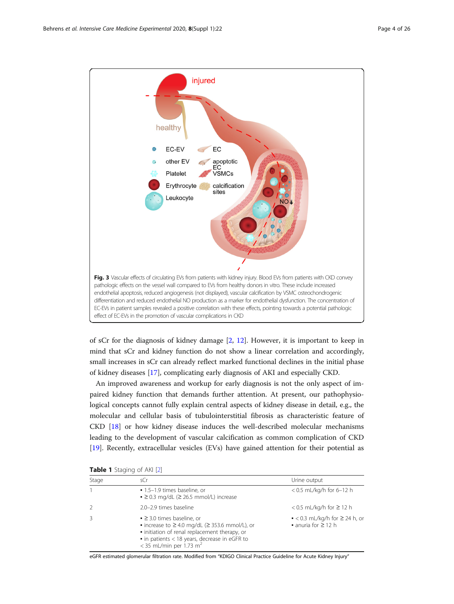<span id="page-3-0"></span>

of sCr for the diagnosis of kidney damage [[2,](#page-20-0) [12](#page-20-0)]. However, it is important to keep in mind that sCr and kidney function do not show a linear correlation and accordingly, small increases in sCr can already reflect marked functional declines in the initial phase of kidney diseases [[17\]](#page-20-0), complicating early diagnosis of AKI and especially CKD.

An improved awareness and workup for early diagnosis is not the only aspect of impaired kidney function that demands further attention. At present, our pathophysiological concepts cannot fully explain central aspects of kidney disease in detail, e.g., the molecular and cellular basis of tubulointerstitial fibrosis as characteristic feature of CKD [[18\]](#page-20-0) or how kidney disease induces the well-described molecular mechanisms leading to the development of vascular calcification as common complication of CKD [[19\]](#page-20-0). Recently, extracellular vesicles (EVs) have gained attention for their potential as

| Stage | sCr                                                                                                                                                                                                                                      | Urine output                                                                    |
|-------|------------------------------------------------------------------------------------------------------------------------------------------------------------------------------------------------------------------------------------------|---------------------------------------------------------------------------------|
|       | • 1.5-1.9 times baseline, or<br>$\bullet$ 20.3 mg/dL (226.5 mmol/L) increase                                                                                                                                                             | < 0.5 mL/kg/h for 6-12 h                                                        |
|       | 2.0-2.9 times baseline                                                                                                                                                                                                                   | $<$ 0.5 mL/kg/h for $\geq$ 12 h                                                 |
|       | $\bullet$ 2 3.0 times baseline, or<br>• increase to $\geq$ 4.0 mg/dL ( $\geq$ 353.6 mmol/L), or<br>· initiation of renal replacement therapy, or<br>· in patients < 18 years, decrease in eGFR to<br>< 35 mL/min per 1.73 m <sup>2</sup> | $\bullet$ < 0.3 mL/kg/h for $\geq$ 24 h, or<br>$\bullet$ anuria for $\geq$ 12 h |

Table 1 Staging of AKI [\[2\]](#page-20-0)

eGFR estimated glomerular filtration rate. Modified from "KDIGO Clinical Practice Guideline for Acute Kidney Injury"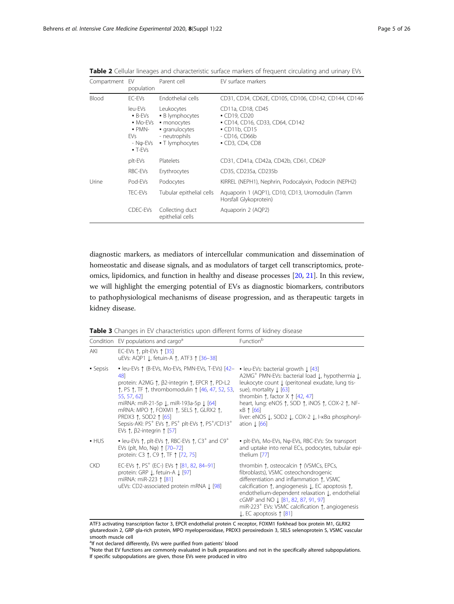| Compartment EV | population                                                                                      | Parent cell                                                                                        | FV surface markers                                                                                                                        |
|----------------|-------------------------------------------------------------------------------------------------|----------------------------------------------------------------------------------------------------|-------------------------------------------------------------------------------------------------------------------------------------------|
| Blood          | $FC$ -FVs                                                                                       | Endothelial cells                                                                                  | CD31, CD34, CD62E, CD105, CD106, CD142, CD144, CD146                                                                                      |
|                | leu-EVs<br>$-B$ -EVs<br>• Mo-EVs<br>$-$ PMN-<br><b>FVs</b><br>$-$ N $\varphi$ -EVs<br>$-T$ -EVs | Leukocytes<br>• B lymphocytes<br>· monocytes<br>· granulocytes<br>- neutrophils<br>• T lymphocytes | CD11a, CD18, CD45<br>• CD19, CD20<br>• CD14, CD16, CD33, CD64, CD142<br>$\bullet$ CD11b, CD15<br>- CD16, CD66b<br>$\bullet$ CD3, CD4, CD8 |
|                | plt-EVs                                                                                         | Platelets                                                                                          | CD31, CD41a, CD42a, CD42b, CD61, CD62P                                                                                                    |
|                | RBC-EVs                                                                                         | Erythrocytes                                                                                       | CD35, CD235a, CD235b                                                                                                                      |
| Urine          | Pod-EVs                                                                                         | Podocytes                                                                                          | KIRREL (NEPH1), Nephrin, Podocalyxin, Podocin (NEPH2)                                                                                     |
|                | TEC-EVs                                                                                         | Tubular epithelial cells                                                                           | Aquaporin 1 (AQP1), CD10, CD13, Uromodulin (Tamm<br>Horsfall Glykoprotein)                                                                |
|                | CDEC-EVs                                                                                        | Collecting duct<br>epithelial cells                                                                | Aguaporin 2 (AQP2)                                                                                                                        |

<span id="page-4-0"></span>Table 2 Cellular lineages and characteristic surface markers of frequent circulating and urinary EVs

diagnostic markers, as mediators of intercellular communication and dissemination of homeostatic and disease signals, and as modulators of target cell transcriptomics, proteomics, lipidomics, and function in healthy and disease processes [[20,](#page-20-0) [21](#page-21-0)]. In this review, we will highlight the emerging potential of EVs as diagnostic biomarkers, contributors to pathophysiological mechanisms of disease progression, and as therapeutic targets in kidney disease.

Table 3 Changes in EV characteristics upon different forms of kidney disease

|            | Condition EV populations and cargo <sup>a</sup>                                                                                                                                                                                                                                                                                                                                                                                                                      | Function <sup>b</sup>                                                                                                                                                                                                                                                                                                                                                                                                                       |
|------------|----------------------------------------------------------------------------------------------------------------------------------------------------------------------------------------------------------------------------------------------------------------------------------------------------------------------------------------------------------------------------------------------------------------------------------------------------------------------|---------------------------------------------------------------------------------------------------------------------------------------------------------------------------------------------------------------------------------------------------------------------------------------------------------------------------------------------------------------------------------------------------------------------------------------------|
| AKI        | EC-EVs $\uparrow$ , plt-EVs $\uparrow$ [35]<br>uEVs: AQP1 J, fetuin-A 1, ATF3 1 [36-38]                                                                                                                                                                                                                                                                                                                                                                              |                                                                                                                                                                                                                                                                                                                                                                                                                                             |
| • Sepsis   | $\bullet$ leu-EVs $\uparrow$ (B-EVs, Mo-EVs, PMN-EVs, T-EVs) [42–<br>48<br>protein: A2MG ↑, β2-integrin ↑, EPCR ↑, PD-L2<br>↑, PS ↑, TF ↑, thrombomodulin ↑ [46, 47, 52, 53,<br>55, 57, 62]<br>miRNA: miR-21-5p L, miR-193a-5p L [64]<br>mRNA: MPO 1, FOXM1 1, SELS 1, GLRX2 1,<br>PRDX3 ↑, SOD2 ↑ [65]<br>Sepsis-AKI: PS <sup>+</sup> EVs 1, PS <sup>+</sup> plt-EVs 1, PS <sup>+</sup> /CD13 <sup>+</sup><br>EVs $\uparrow$ , $\upbeta$ 2-integrin $\uparrow$ [57] | • leu-EVs: bacterial growth [[43]<br>A2MG <sup>+</sup> PMN-EVs: bacterial load L, hypothermia L,<br>leukocyte count J (peritoneal exudate, lung tis-<br>sue), mortality $\lfloor 63 \rfloor$<br>thrombin $\uparrow$ , factor X $\uparrow$ [42, 47]<br>heart, lung: eNOS 1, SOD 1, iNOS 1, COX-2 1, NF-<br>KB 1 [66]<br>liver: eNOS 1, SOD2 1, COX-2 1, I-kBa phosphoryl-<br>ation $\lfloor 66 \rfloor$                                      |
| $-HUS$     | • leu-EVs $\uparrow$ , plt-EVs $\uparrow$ , RBC-EVs $\uparrow$ , C3 <sup>+</sup> and C9 <sup>+</sup><br>EVs (plt, Mo, N $\varphi$ ) $\uparrow$ [70-72]<br>protein: C3 1, C9 1, TF 1 [72, 75]                                                                                                                                                                                                                                                                         | • plt-EVs, Mo-EVs, No-EVs, RBC-EVs: Stx transport<br>and uptake into renal ECs, podocytes, tubular epi-<br>thelium [77]                                                                                                                                                                                                                                                                                                                     |
| <b>CKD</b> | EC-EVs ↑, PS <sup>+</sup> (EC-) EVs ↑ [81, 82, 84-91]<br>protein: GRP Į, fetuin-A Į [97]<br>miRNA: miR-223 1 [81]<br>uEVs: CD2-associated protein mRNA 1 [98]                                                                                                                                                                                                                                                                                                        | thrombin ↑, osteocalcin ↑ (VSMCs, EPCs,<br>fibroblasts), VSMC osteochondrogenic<br>differentiation and inflammation $\uparrow$ , VSMC<br>calcification $\uparrow$ , angiogenesis $\downarrow$ , EC apoptosis $\uparrow$ ,<br>endothelium-dependent relaxation L, endothelial<br>cGMP and NO 1 [81, 82, 87, 91, 97]<br>miR-223 <sup>+</sup> EVs: VSMC calcification $\uparrow$ , angiogenesis<br>$\downarrow$ , EC apoptosis $\uparrow$ [81] |

ATF3 activating transcription factor 3, EPCR endothelial protein C receptor, FOXM1 forkhead box protein M1, GLRX2 glutaredoxin 2, GRP gla-rich protein, MPO myeloperoxidase, PRDX3 peroxiredoxin 3, SELS selenoprotein S, VSMC vascular smooth muscle cell

<sup>&</sup>lt;sup>a</sup>lf not declared differently, EVs were purified from patients' blood<br><sup>b</sup>Note that EV functions are commonly qualitated in bulk proparat

<sup>&</sup>lt;sup>b</sup>Note that EV functions are commonly evaluated in bulk preparations and not in the specifically altered subpopulations. If specific subpopulations are given, those EVs were produced in vitro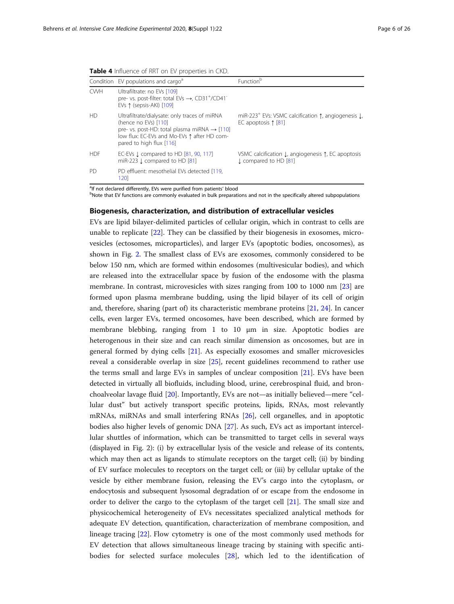|            | Condition EV populations and cargo <sup>a</sup>                                                                                                                                                              | Function <sup>b</sup>                                                                                                 |
|------------|--------------------------------------------------------------------------------------------------------------------------------------------------------------------------------------------------------------|-----------------------------------------------------------------------------------------------------------------------|
| <b>CWH</b> | Ultrafiltrate: no EVs [109]<br>pre- vs. post-filter: total EVs $\rightarrow$ , CD31 <sup>+</sup> /CD41 <sup>-</sup><br>EVs $\uparrow$ (sepsis-AKI) [109]                                                     |                                                                                                                       |
| HD.        | Ultrafiltrate/dialysate: only traces of miRNA<br>(hence no EVs) [110]<br>pre- vs. post-HD: total plasma miRNA $\rightarrow$ [110]<br>low flux: EC-EVs and Mo-EVs 1 after HD com-<br>pared to high flux [116] | miR-223 <sup>+</sup> EVs: VSMC calcification $\uparrow$ , angiogenesis $\downarrow$ ,<br>EC apoptosis $\uparrow$ [81] |
| <b>HDF</b> | EC-EVs J, compared to HD [81, 90, 117]<br>miR-223 L compared to HD [81]                                                                                                                                      | VSMC calcification $\downarrow$ , angiogenesis $\uparrow$ , EC apoptosis<br>1 compared to HD [81]                     |
| PD.        | PD effluent: mesothelial EVs detected [119,<br>120]                                                                                                                                                          |                                                                                                                       |

<span id="page-5-0"></span>Table 4 Influence of RRT on EV properties in CKD.

<sup>a</sup>lf not declared differently, EVs were purified from patients' blood<br><sup>b</sup>Note that EV functions are commonly evaluated in bulk preparat

<sup>b</sup>Note that EV functions are commonly evaluated in bulk preparations and not in the specifically altered subpopulations

# Biogenesis, characterization, and distribution of extracellular vesicles

EVs are lipid bilayer-delimited particles of cellular origin, which in contrast to cells are unable to replicate [[22\]](#page-21-0). They can be classified by their biogenesis in exosomes, microvesicles (ectosomes, microparticles), and larger EVs (apoptotic bodies, oncosomes), as shown in Fig. [2.](#page-2-0) The smallest class of EVs are exosomes, commonly considered to be below 150 nm, which are formed within endosomes (multivesicular bodies), and which are released into the extracellular space by fusion of the endosome with the plasma membrane. In contrast, microvesicles with sizes ranging from 100 to 1000 nm [[23\]](#page-21-0) are formed upon plasma membrane budding, using the lipid bilayer of its cell of origin and, therefore, sharing (part of) its characteristic membrane proteins [\[21,](#page-21-0) [24\]](#page-21-0). In cancer cells, even larger EVs, termed oncosomes, have been described, which are formed by membrane blebbing, ranging from 1 to 10 μm in size. Apoptotic bodies are heterogenous in their size and can reach similar dimension as oncosomes, but are in general formed by dying cells [[21\]](#page-21-0). As especially exosomes and smaller microvesicles reveal a considerable overlap in size [[25\]](#page-21-0), recent guidelines recommend to rather use the terms small and large EVs in samples of unclear composition [[21\]](#page-21-0). EVs have been detected in virtually all biofluids, including blood, urine, cerebrospinal fluid, and bronchoalveolar lavage fluid [[20\]](#page-20-0). Importantly, EVs are not—as initially believed—mere "cellular dust" but actively transport specific proteins, lipids, RNAs, most relevantly mRNAs, miRNAs and small interfering RNAs [\[26](#page-21-0)], cell organelles, and in apoptotic bodies also higher levels of genomic DNA [\[27](#page-21-0)]. As such, EVs act as important intercellular shuttles of information, which can be transmitted to target cells in several ways (displayed in Fig. 2): (i) by extracellular lysis of the vesicle and release of its contents, which may then act as ligands to stimulate receptors on the target cell; (ii) by binding of EV surface molecules to receptors on the target cell; or (iii) by cellular uptake of the vesicle by either membrane fusion, releasing the EV's cargo into the cytoplasm, or endocytosis and subsequent lysosomal degradation of or escape from the endosome in order to deliver the cargo to the cytoplasm of the target cell [[21](#page-21-0)]. The small size and physicochemical heterogeneity of EVs necessitates specialized analytical methods for adequate EV detection, quantification, characterization of membrane composition, and lineage tracing [[22](#page-21-0)]. Flow cytometry is one of the most commonly used methods for EV detection that allows simultaneous lineage tracing by staining with specific antibodies for selected surface molecules [\[28](#page-21-0)], which led to the identification of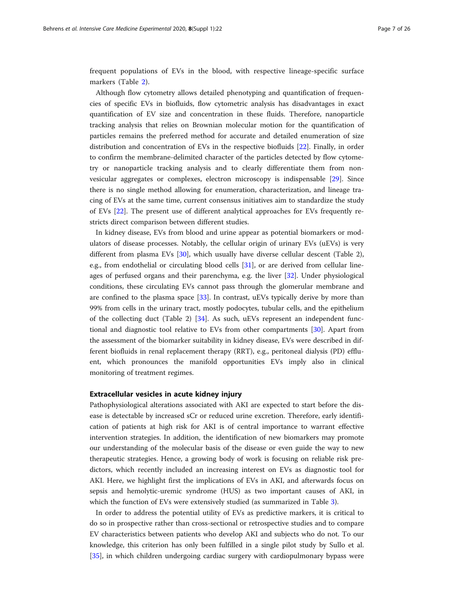frequent populations of EVs in the blood, with respective lineage-specific surface markers (Table [2\)](#page-4-0).

Although flow cytometry allows detailed phenotyping and quantification of frequencies of specific EVs in biofluids, flow cytometric analysis has disadvantages in exact quantification of EV size and concentration in these fluids. Therefore, nanoparticle tracking analysis that relies on Brownian molecular motion for the quantification of particles remains the preferred method for accurate and detailed enumeration of size distribution and concentration of EVs in the respective biofluids [[22](#page-21-0)]. Finally, in order to confirm the membrane-delimited character of the particles detected by flow cytometry or nanoparticle tracking analysis and to clearly differentiate them from nonvesicular aggregates or complexes, electron microscopy is indispensable [\[29](#page-21-0)]. Since there is no single method allowing for enumeration, characterization, and lineage tracing of EVs at the same time, current consensus initiatives aim to standardize the study of EVs [[22](#page-21-0)]. The present use of different analytical approaches for EVs frequently restricts direct comparison between different studies.

In kidney disease, EVs from blood and urine appear as potential biomarkers or modulators of disease processes. Notably, the cellular origin of urinary EVs (uEVs) is very different from plasma EVs [\[30\]](#page-21-0), which usually have diverse cellular descent (Table 2), e.g., from endothelial or circulating blood cells [\[31](#page-21-0)], or are derived from cellular lineages of perfused organs and their parenchyma, e.g. the liver [\[32](#page-21-0)]. Under physiological conditions, these circulating EVs cannot pass through the glomerular membrane and are confined to the plasma space [[33](#page-21-0)]. In contrast, uEVs typically derive by more than 99% from cells in the urinary tract, mostly podocytes, tubular cells, and the epithelium of the collecting duct (Table 2)  $[34]$ . As such, uEVs represent an independent functional and diagnostic tool relative to EVs from other compartments [\[30\]](#page-21-0). Apart from the assessment of the biomarker suitability in kidney disease, EVs were described in different biofluids in renal replacement therapy (RRT), e.g., peritoneal dialysis (PD) effluent, which pronounces the manifold opportunities EVs imply also in clinical monitoring of treatment regimes.

# Extracellular vesicles in acute kidney injury

Pathophysiological alterations associated with AKI are expected to start before the disease is detectable by increased sCr or reduced urine excretion. Therefore, early identification of patients at high risk for AKI is of central importance to warrant effective intervention strategies. In addition, the identification of new biomarkers may promote our understanding of the molecular basis of the disease or even guide the way to new therapeutic strategies. Hence, a growing body of work is focusing on reliable risk predictors, which recently included an increasing interest on EVs as diagnostic tool for AKI. Here, we highlight first the implications of EVs in AKI, and afterwards focus on sepsis and hemolytic-uremic syndrome (HUS) as two important causes of AKI, in which the function of EVs were extensively studied (as summarized in Table [3](#page-4-0)).

In order to address the potential utility of EVs as predictive markers, it is critical to do so in prospective rather than cross-sectional or retrospective studies and to compare EV characteristics between patients who develop AKI and subjects who do not. To our knowledge, this criterion has only been fulfilled in a single pilot study by Sullo et al. [[35\]](#page-21-0), in which children undergoing cardiac surgery with cardiopulmonary bypass were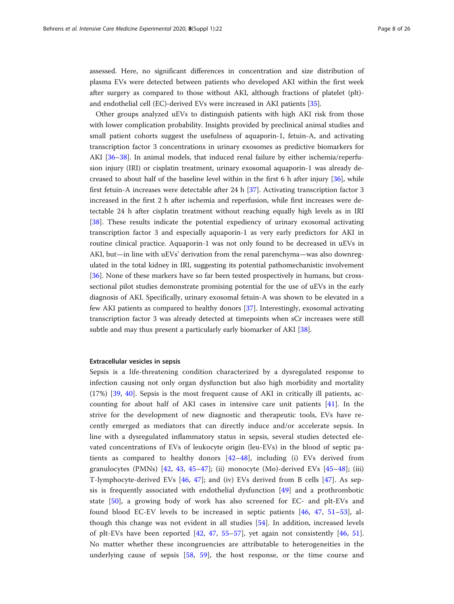assessed. Here, no significant differences in concentration and size distribution of plasma EVs were detected between patients who developed AKI within the first week after surgery as compared to those without AKI, although fractions of platelet (plt) and endothelial cell (EC)-derived EVs were increased in AKI patients [[35\]](#page-21-0).

Other groups analyzed uEVs to distinguish patients with high AKI risk from those with lower complication probability. Insights provided by preclinical animal studies and small patient cohorts suggest the usefulness of aquaporin-1, fetuin-A, and activating transcription factor 3 concentrations in urinary exosomes as predictive biomarkers for AKI [\[36](#page-21-0)–[38\]](#page-22-0). In animal models, that induced renal failure by either ischemia/reperfusion injury (IRI) or cisplatin treatment, urinary exosomal aquaporin-1 was already decreased to about half of the baseline level within in the first 6 h after injury [\[36](#page-21-0)], while first fetuin-A increases were detectable after 24 h [\[37\]](#page-22-0). Activating transcription factor 3 increased in the first 2 h after ischemia and reperfusion, while first increases were detectable 24 h after cisplatin treatment without reaching equally high levels as in IRI [[38\]](#page-22-0). These results indicate the potential expediency of urinary exosomal activating transcription factor 3 and especially aquaporin-1 as very early predictors for AKI in routine clinical practice. Aquaporin-1 was not only found to be decreased in uEVs in AKI, but—in line with uEVs' derivation from the renal parenchyma—was also downregulated in the total kidney in IRI, suggesting its potential pathomechanistic involvement [[36\]](#page-21-0). None of these markers have so far been tested prospectively in humans, but crosssectional pilot studies demonstrate promising potential for the use of uEVs in the early diagnosis of AKI. Specifically, urinary exosomal fetuin-A was shown to be elevated in a few AKI patients as compared to healthy donors [[37\]](#page-22-0). Interestingly, exosomal activating transcription factor 3 was already detected at timepoints when sCr increases were still subtle and may thus present a particularly early biomarker of AKI [\[38\]](#page-22-0).

# Extracellular vesicles in sepsis

Sepsis is a life-threatening condition characterized by a dysregulated response to infection causing not only organ dysfunction but also high morbidity and mortality (17%) [\[39](#page-22-0), [40](#page-22-0)]. Sepsis is the most frequent cause of AKI in critically ill patients, accounting for about half of AKI cases in intensive care unit patients [[41\]](#page-22-0). In the strive for the development of new diagnostic and therapeutic tools, EVs have recently emerged as mediators that can directly induce and/or accelerate sepsis. In line with a dysregulated inflammatory status in sepsis, several studies detected elevated concentrations of EVs of leukocyte origin (leu-EVs) in the blood of septic patients as compared to healthy donors [\[42](#page-22-0)–[48](#page-22-0)], including (i) EVs derived from granulocytes (PMNs)  $[42, 43, 45-47]$  $[42, 43, 45-47]$  $[42, 43, 45-47]$  $[42, 43, 45-47]$  $[42, 43, 45-47]$  $[42, 43, 45-47]$  $[42, 43, 45-47]$  $[42, 43, 45-47]$  $[42, 43, 45-47]$ ; (ii) monocyte (Mo)-derived EVs  $[45-48]$  $[45-48]$ ; (iii) T-lymphocyte-derived EVs [[46,](#page-22-0) [47](#page-22-0)]; and (iv) EVs derived from B cells [[47\]](#page-22-0). As sepsis is frequently associated with endothelial dysfunction [\[49](#page-22-0)] and a prothrombotic state [[50\]](#page-22-0), a growing body of work has also screened for EC- and plt-EVs and found blood EC-EV levels to be increased in septic patients [\[46](#page-22-0), [47,](#page-22-0) [51](#page-22-0)–[53](#page-22-0)], although this change was not evident in all studies [\[54](#page-22-0)]. In addition, increased levels of plt-EVs have been reported [\[42](#page-22-0), [47,](#page-22-0) [55](#page-22-0)–[57\]](#page-22-0), yet again not consistently [\[46](#page-22-0), [51](#page-22-0)]. No matter whether these incongruencies are attributable to heterogeneities in the underlying cause of sepsis [[58,](#page-22-0) [59](#page-22-0)], the host response, or the time course and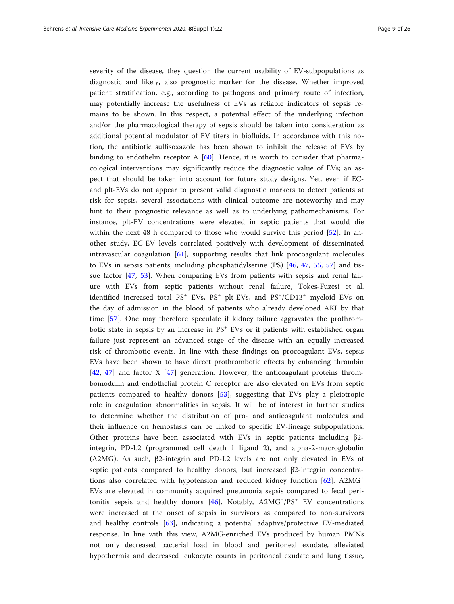severity of the disease, they question the current usability of EV-subpopulations as diagnostic and likely, also prognostic marker for the disease. Whether improved patient stratification, e.g., according to pathogens and primary route of infection, may potentially increase the usefulness of EVs as reliable indicators of sepsis remains to be shown. In this respect, a potential effect of the underlying infection and/or the pharmacological therapy of sepsis should be taken into consideration as additional potential modulator of EV titers in biofluids. In accordance with this notion, the antibiotic sulfisoxazole has been shown to inhibit the release of EVs by binding to endothelin receptor A [[60\]](#page-22-0). Hence, it is worth to consider that pharmacological interventions may significantly reduce the diagnostic value of EVs; an aspect that should be taken into account for future study designs. Yet, even if ECand plt-EVs do not appear to present valid diagnostic markers to detect patients at risk for sepsis, several associations with clinical outcome are noteworthy and may hint to their prognostic relevance as well as to underlying pathomechanisms. For instance, plt-EV concentrations were elevated in septic patients that would die within the next 48 h compared to those who would survive this period [[52\]](#page-22-0). In another study, EC-EV levels correlated positively with development of disseminated intravascular coagulation [\[61](#page-22-0)], supporting results that link procoagulant molecules to EVs in sepsis patients, including phosphatidylserine (PS) [[46](#page-22-0), [47](#page-22-0), [55,](#page-22-0) [57\]](#page-22-0) and tissue factor [[47,](#page-22-0) [53](#page-22-0)]. When comparing EVs from patients with sepsis and renal failure with EVs from septic patients without renal failure, Tokes-Fuzesi et al. identified increased total PS<sup>+</sup> EVs, PS<sup>+</sup> plt-EVs, and PS<sup>+</sup>/CD13<sup>+</sup> myeloid EVs on the day of admission in the blood of patients who already developed AKI by that time [\[57](#page-22-0)]. One may therefore speculate if kidney failure aggravates the prothrombotic state in sepsis by an increase in  $PS<sup>+</sup> EVs$  or if patients with established organ failure just represent an advanced stage of the disease with an equally increased risk of thrombotic events. In line with these findings on procoagulant EVs, sepsis EVs have been shown to have direct prothrombotic effects by enhancing thrombin [[42,](#page-22-0) [47\]](#page-22-0) and factor X [[47\]](#page-22-0) generation. However, the anticoagulant proteins thrombomodulin and endothelial protein C receptor are also elevated on EVs from septic patients compared to healthy donors [[53](#page-22-0)], suggesting that EVs play a pleiotropic role in coagulation abnormalities in sepsis. It will be of interest in further studies to determine whether the distribution of pro- and anticoagulant molecules and their influence on hemostasis can be linked to specific EV-lineage subpopulations. Other proteins have been associated with EVs in septic patients including  $\beta$ 2integrin, PD-L2 (programmed cell death 1 ligand 2), and alpha-2-macroglobulin (A2MG). As such, β2-integrin and PD-L2 levels are not only elevated in EVs of septic patients compared to healthy donors, but increased β2-integrin concentrations also correlated with hypotension and reduced kidney function  $[62]$  $[62]$ . A2MG<sup>+</sup> EVs are elevated in community acquired pneumonia sepsis compared to fecal peri-tonitis sepsis and healthy donors [[46\]](#page-22-0). Notably, A2MG<sup>+</sup>/PS<sup>+</sup> EV concentrations were increased at the onset of sepsis in survivors as compared to non-survivors and healthy controls [\[63](#page-22-0)], indicating a potential adaptive/protective EV-mediated response. In line with this view, A2MG-enriched EVs produced by human PMNs not only decreased bacterial load in blood and peritoneal exudate, alleviated hypothermia and decreased leukocyte counts in peritoneal exudate and lung tissue,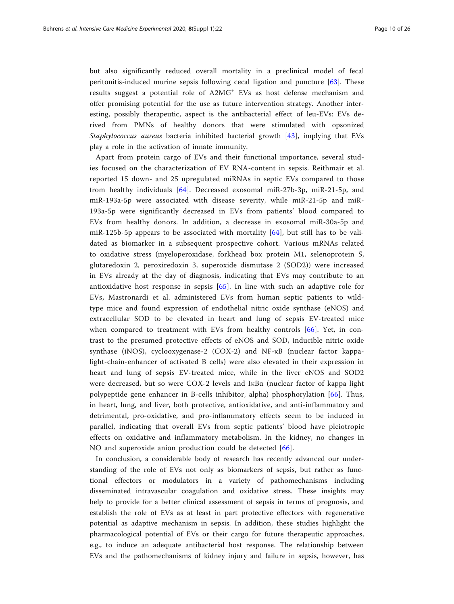but also significantly reduced overall mortality in a preclinical model of fecal peritonitis-induced murine sepsis following cecal ligation and puncture [[63\]](#page-22-0). These results suggest a potential role of A2MG<sup>+</sup> EVs as host defense mechanism and offer promising potential for the use as future intervention strategy. Another interesting, possibly therapeutic, aspect is the antibacterial effect of leu-EVs: EVs derived from PMNs of healthy donors that were stimulated with opsonized Staphylococcus aureus bacteria inhibited bacterial growth [\[43](#page-22-0)], implying that EVs play a role in the activation of innate immunity.

Apart from protein cargo of EVs and their functional importance, several studies focused on the characterization of EV RNA-content in sepsis. Reithmair et al. reported 15 down- and 25 upregulated miRNAs in septic EVs compared to those from healthy individuals [[64](#page-22-0)]. Decreased exosomal miR-27b-3p, miR-21-5p, and miR-193a-5p were associated with disease severity, while miR-21-5p and miR-193a-5p were significantly decreased in EVs from patients' blood compared to EVs from healthy donors. In addition, a decrease in exosomal miR-30a-5p and miR-125b-5p appears to be associated with mortality  $[64]$  $[64]$  $[64]$ , but still has to be validated as biomarker in a subsequent prospective cohort. Various mRNAs related to oxidative stress (myeloperoxidase, forkhead box protein M1, selenoprotein S, glutaredoxin 2, peroxiredoxin 3, superoxide dismutase 2 (SOD2)) were increased in EVs already at the day of diagnosis, indicating that EVs may contribute to an antioxidative host response in sepsis [\[65\]](#page-22-0). In line with such an adaptive role for EVs, Mastronardi et al. administered EVs from human septic patients to wildtype mice and found expression of endothelial nitric oxide synthase (eNOS) and extracellular SOD to be elevated in heart and lung of sepsis EV-treated mice when compared to treatment with EVs from healthy controls [[66\]](#page-22-0). Yet, in contrast to the presumed protective effects of eNOS and SOD, inducible nitric oxide synthase (iNOS), cyclooxygenase-2 (COX-2) and NF-κB (nuclear factor kappalight-chain-enhancer of activated B cells) were also elevated in their expression in heart and lung of sepsis EV-treated mice, while in the liver eNOS and SOD2 were decreased, but so were COX-2 levels and  $I_{\kappa}$  (nuclear factor of kappa light polypeptide gene enhancer in B-cells inhibitor, alpha) phosphorylation [[66\]](#page-22-0). Thus, in heart, lung, and liver, both protective, antioxidative, and anti-inflammatory and detrimental, pro-oxidative, and pro-inflammatory effects seem to be induced in parallel, indicating that overall EVs from septic patients' blood have pleiotropic effects on oxidative and inflammatory metabolism. In the kidney, no changes in NO and superoxide anion production could be detected [[66](#page-22-0)].

In conclusion, a considerable body of research has recently advanced our understanding of the role of EVs not only as biomarkers of sepsis, but rather as functional effectors or modulators in a variety of pathomechanisms including disseminated intravascular coagulation and oxidative stress. These insights may help to provide for a better clinical assessment of sepsis in terms of prognosis, and establish the role of EVs as at least in part protective effectors with regenerative potential as adaptive mechanism in sepsis. In addition, these studies highlight the pharmacological potential of EVs or their cargo for future therapeutic approaches, e.g., to induce an adequate antibacterial host response. The relationship between EVs and the pathomechanisms of kidney injury and failure in sepsis, however, has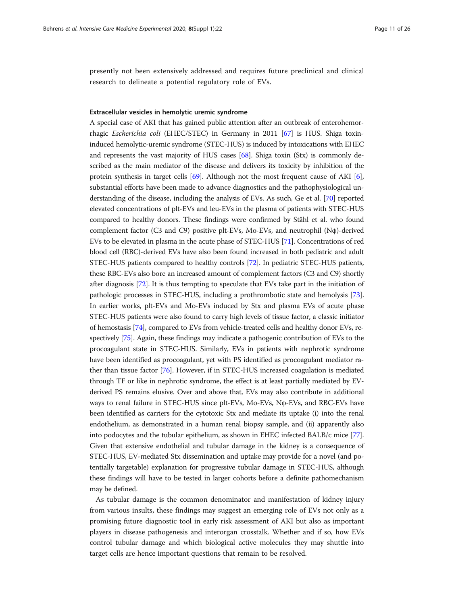presently not been extensively addressed and requires future preclinical and clinical research to delineate a potential regulatory role of EVs.

# Extracellular vesicles in hemolytic uremic syndrome

A special case of AKI that has gained public attention after an outbreak of enterohemorrhagic Escherichia coli (EHEC/STEC) in Germany in 2011 [\[67\]](#page-23-0) is HUS. Shiga toxininduced hemolytic-uremic syndrome (STEC-HUS) is induced by intoxications with EHEC and represents the vast majority of HUS cases [[68](#page-23-0)]. Shiga toxin (Stx) is commonly described as the main mediator of the disease and delivers its toxicity by inhibition of the protein synthesis in target cells [\[69\]](#page-23-0). Although not the most frequent cause of AKI [[6](#page-20-0)], substantial efforts have been made to advance diagnostics and the pathophysiological understanding of the disease, including the analysis of EVs. As such, Ge et al. [\[70](#page-23-0)] reported elevated concentrations of plt-EVs and leu-EVs in the plasma of patients with STEC-HUS compared to healthy donors. These findings were confirmed by Ståhl et al. who found complement factor (C3 and C9) positive plt-EVs, Mo-EVs, and neutrophil (Nφ)-derived EVs to be elevated in plasma in the acute phase of STEC-HUS [[71](#page-23-0)]. Concentrations of red blood cell (RBC)-derived EVs have also been found increased in both pediatric and adult STEC-HUS patients compared to healthy controls [\[72\]](#page-23-0). In pediatric STEC-HUS patients, these RBC-EVs also bore an increased amount of complement factors (C3 and C9) shortly after diagnosis [[72](#page-23-0)]. It is thus tempting to speculate that EVs take part in the initiation of pathologic processes in STEC-HUS, including a prothrombotic state and hemolysis [[73](#page-23-0)]. In earlier works, plt-EVs and Mo-EVs induced by Stx and plasma EVs of acute phase STEC-HUS patients were also found to carry high levels of tissue factor, a classic initiator of hemostasis [\[74](#page-23-0)], compared to EVs from vehicle-treated cells and healthy donor EVs, respectively [[75](#page-23-0)]. Again, these findings may indicate a pathogenic contribution of EVs to the procoagulant state in STEC-HUS. Similarly, EVs in patients with nephrotic syndrome have been identified as procoagulant, yet with PS identified as procoagulant mediator rather than tissue factor [\[76\]](#page-23-0). However, if in STEC-HUS increased coagulation is mediated through TF or like in nephrotic syndrome, the effect is at least partially mediated by EVderived PS remains elusive. Over and above that, EVs may also contribute in additional ways to renal failure in STEC-HUS since plt-EVs, Mo-EVs, Nφ-EVs, and RBC-EVs have been identified as carriers for the cytotoxic Stx and mediate its uptake (i) into the renal endothelium, as demonstrated in a human renal biopsy sample, and (ii) apparently also into podocytes and the tubular epithelium, as shown in EHEC infected BALB/c mice [[77](#page-23-0)]. Given that extensive endothelial and tubular damage in the kidney is a consequence of STEC-HUS, EV-mediated Stx dissemination and uptake may provide for a novel (and potentially targetable) explanation for progressive tubular damage in STEC-HUS, although these findings will have to be tested in larger cohorts before a definite pathomechanism may be defined.

As tubular damage is the common denominator and manifestation of kidney injury from various insults, these findings may suggest an emerging role of EVs not only as a promising future diagnostic tool in early risk assessment of AKI but also as important players in disease pathogenesis and interorgan crosstalk. Whether and if so, how EVs control tubular damage and which biological active molecules they may shuttle into target cells are hence important questions that remain to be resolved.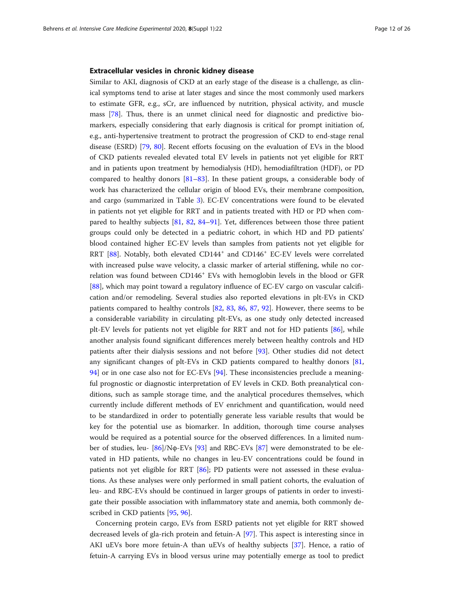# Extracellular vesicles in chronic kidney disease

Similar to AKI, diagnosis of CKD at an early stage of the disease is a challenge, as clinical symptoms tend to arise at later stages and since the most commonly used markers to estimate GFR, e.g., sCr, are influenced by nutrition, physical activity, and muscle mass [[78\]](#page-23-0). Thus, there is an unmet clinical need for diagnostic and predictive biomarkers, especially considering that early diagnosis is critical for prompt initiation of, e.g., anti-hypertensive treatment to protract the progression of CKD to end-stage renal disease (ESRD) [[79](#page-23-0), [80\]](#page-23-0). Recent efforts focusing on the evaluation of EVs in the blood of CKD patients revealed elevated total EV levels in patients not yet eligible for RRT and in patients upon treatment by hemodialysis (HD), hemodiafiltration (HDF), or PD compared to healthy donors [[81](#page-23-0)–[83](#page-23-0)]. In these patient groups, a considerable body of work has characterized the cellular origin of blood EVs, their membrane composition, and cargo (summarized in Table [3](#page-4-0)). EC-EV concentrations were found to be elevated in patients not yet eligible for RRT and in patients treated with HD or PD when compared to healthy subjects [[81,](#page-23-0) [82](#page-23-0), [84](#page-23-0)–[91\]](#page-23-0). Yet, differences between those three patient groups could only be detected in a pediatric cohort, in which HD and PD patients' blood contained higher EC-EV levels than samples from patients not yet eligible for RRT [[88](#page-23-0)]. Notably, both elevated CD144<sup>+</sup> and CD146<sup>+</sup> EC-EV levels were correlated with increased pulse wave velocity, a classic marker of arterial stiffening, while no correlation was found between CD146<sup>+</sup> EVs with hemoglobin levels in the blood or GFR [[88\]](#page-23-0), which may point toward a regulatory influence of EC-EV cargo on vascular calcification and/or remodeling. Several studies also reported elevations in plt-EVs in CKD patients compared to healthy controls [[82,](#page-23-0) [83,](#page-23-0) [86](#page-23-0), [87,](#page-23-0) [92](#page-23-0)]. However, there seems to be a considerable variability in circulating plt-EVs, as one study only detected increased plt-EV levels for patients not yet eligible for RRT and not for HD patients [\[86\]](#page-23-0), while another analysis found significant differences merely between healthy controls and HD patients after their dialysis sessions and not before [[93](#page-23-0)]. Other studies did not detect any significant changes of plt-EVs in CKD patients compared to healthy donors [[81](#page-23-0), [94](#page-23-0)] or in one case also not for EC-EVs [\[94](#page-23-0)]. These inconsistencies preclude a meaningful prognostic or diagnostic interpretation of EV levels in CKD. Both preanalytical conditions, such as sample storage time, and the analytical procedures themselves, which currently include different methods of EV enrichment and quantification, would need to be standardized in order to potentially generate less variable results that would be key for the potential use as biomarker. In addition, thorough time course analyses would be required as a potential source for the observed differences. In a limited number of studies, leu- [\[86](#page-23-0)]/Nφ-EVs [[93\]](#page-23-0) and RBC-EVs [[87](#page-23-0)] were demonstrated to be elevated in HD patients, while no changes in leu-EV concentrations could be found in patients not yet eligible for RRT [\[86](#page-23-0)]; PD patients were not assessed in these evaluations. As these analyses were only performed in small patient cohorts, the evaluation of leu- and RBC-EVs should be continued in larger groups of patients in order to investigate their possible association with inflammatory state and anemia, both commonly described in CKD patients [\[95,](#page-23-0) [96\]](#page-23-0).

Concerning protein cargo, EVs from ESRD patients not yet eligible for RRT showed decreased levels of gla-rich protein and fetuin-A [\[97](#page-23-0)]. This aspect is interesting since in AKI uEVs bore more fetuin-A than uEVs of healthy subjects [[37](#page-22-0)]. Hence, a ratio of fetuin-A carrying EVs in blood versus urine may potentially emerge as tool to predict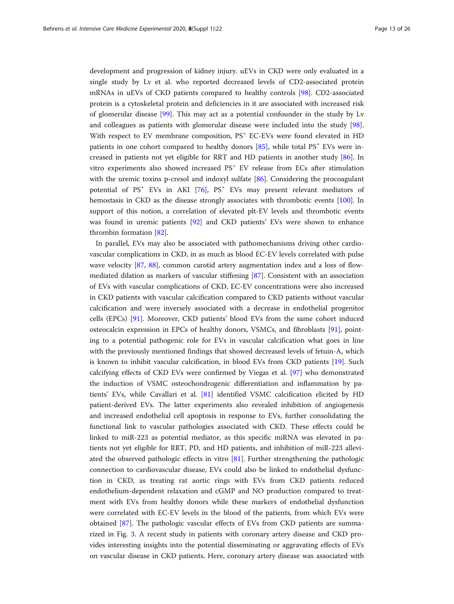development and progression of kidney injury. uEVs in CKD were only evaluated in a single study by Lv et al. who reported decreased levels of CD2-associated protein mRNAs in uEVs of CKD patients compared to healthy controls [[98\]](#page-24-0). CD2-associated protein is a cytoskeletal protein and deficiencies in it are associated with increased risk of glomerular disease [\[99\]](#page-24-0). This may act as a potential confounder in the study by Lv and colleagues as patients with glomerular disease were included into the study [[98](#page-24-0)]. With respect to EV membrane composition, PS<sup>+</sup> EC-EVs were found elevated in HD patients in one cohort compared to healthy donors  $[85]$  $[85]$  $[85]$ , while total PS<sup>+</sup> EVs were increased in patients not yet eligible for RRT and HD patients in another study [\[86](#page-23-0)]. In vitro experiments also showed increased  $PS<sup>+</sup>$  EV release from ECs after stimulation with the uremic toxins p-cresol and indoxyl sulfate [\[86](#page-23-0)]. Considering the procoagulant potential of  $PS^+$  EVs in AKI [[76\]](#page-23-0),  $PS^+$  EVs may present relevant mediators of hemostasis in CKD as the disease strongly associates with thrombotic events [\[100](#page-24-0)]. In support of this notion, a correlation of elevated plt-EV levels and thrombotic events was found in uremic patients [[92](#page-23-0)] and CKD patients' EVs were shown to enhance thrombin formation [[82\]](#page-23-0).

In parallel, EVs may also be associated with pathomechanisms driving other cardiovascular complications in CKD, in as much as blood EC-EV levels correlated with pulse wave velocity [\[87](#page-23-0), [88\]](#page-23-0), common carotid artery augmentation index and a loss of flowmediated dilation as markers of vascular stiffening [\[87\]](#page-23-0). Consistent with an association of EVs with vascular complications of CKD, EC-EV concentrations were also increased in CKD patients with vascular calcification compared to CKD patients without vascular calcification and were inversely associated with a decrease in endothelial progenitor cells (EPCs) [\[91](#page-23-0)]. Moreover, CKD patients' blood EVs from the same cohort induced osteocalcin expression in EPCs of healthy donors, VSMCs, and fibroblasts [[91\]](#page-23-0), pointing to a potential pathogenic role for EVs in vascular calcification what goes in line with the previously mentioned findings that showed decreased levels of fetuin-A, which is known to inhibit vascular calcification, in blood EVs from CKD patients [[19](#page-20-0)]. Such calcifying effects of CKD EVs were confirmed by Viegas et al. [[97\]](#page-23-0) who demonstrated the induction of VSMC osteochondrogenic differentiation and inflammation by patients' EVs, while Cavallari et al. [\[81\]](#page-23-0) identified VSMC calcification elicited by HD patient-derived EVs. The latter experiments also revealed inhibition of angiogenesis and increased endothelial cell apoptosis in response to EVs, further consolidating the functional link to vascular pathologies associated with CKD. These effects could be linked to miR-223 as potential mediator, as this specific miRNA was elevated in patients not yet eligible for RRT, PD, and HD patients, and inhibition of miR-223 alleviated the observed pathologic effects in vitro [[81](#page-23-0)]. Further strengthening the pathologic connection to cardiovascular disease, EVs could also be linked to endothelial dysfunction in CKD, as treating rat aortic rings with EVs from CKD patients reduced endothelium-dependent relaxation and cGMP and NO production compared to treatment with EVs from healthy donors while these markers of endothelial dysfunction were correlated with EC-EV levels in the blood of the patients, from which EVs were obtained [\[87\]](#page-23-0). The pathologic vascular effects of EVs from CKD patients are summarized in Fig. [3](#page-3-0). A recent study in patients with coronary artery disease and CKD provides interesting insights into the potential disseminating or aggravating effects of EVs on vascular disease in CKD patients. Here, coronary artery disease was associated with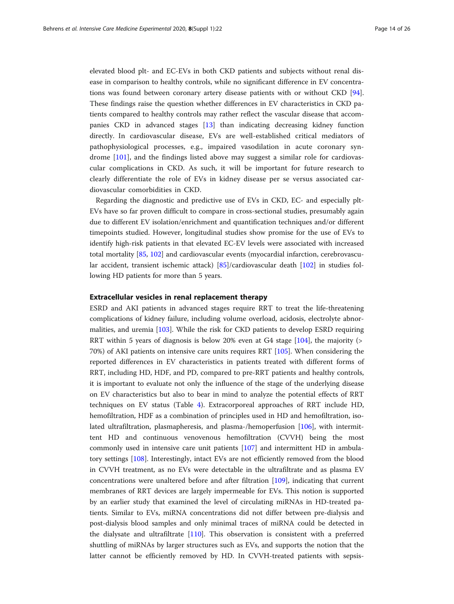elevated blood plt- and EC-EVs in both CKD patients and subjects without renal disease in comparison to healthy controls, while no significant difference in EV concentrations was found between coronary artery disease patients with or without CKD [[94](#page-23-0)]. These findings raise the question whether differences in EV characteristics in CKD patients compared to healthy controls may rather reflect the vascular disease that accompanies CKD in advanced stages [\[13](#page-20-0)] than indicating decreasing kidney function directly. In cardiovascular disease, EVs are well-established critical mediators of pathophysiological processes, e.g., impaired vasodilation in acute coronary syndrome [[101\]](#page-24-0), and the findings listed above may suggest a similar role for cardiovascular complications in CKD. As such, it will be important for future research to clearly differentiate the role of EVs in kidney disease per se versus associated cardiovascular comorbidities in CKD.

Regarding the diagnostic and predictive use of EVs in CKD, EC- and especially plt-EVs have so far proven difficult to compare in cross-sectional studies, presumably again due to different EV isolation/enrichment and quantification techniques and/or different timepoints studied. However, longitudinal studies show promise for the use of EVs to identify high-risk patients in that elevated EC-EV levels were associated with increased total mortality [\[85,](#page-23-0) [102\]](#page-24-0) and cardiovascular events (myocardial infarction, cerebrovascular accident, transient ischemic attack) [[85\]](#page-23-0)/cardiovascular death [[102\]](#page-24-0) in studies following HD patients for more than 5 years.

# Extracellular vesicles in renal replacement therapy

ESRD and AKI patients in advanced stages require RRT to treat the life-threatening complications of kidney failure, including volume overload, acidosis, electrolyte abnormalities, and uremia [[103\]](#page-24-0). While the risk for CKD patients to develop ESRD requiring RRT within 5 years of diagnosis is below 20% even at G4 stage [\[104](#page-24-0)], the majority (> 70%) of AKI patients on intensive care units requires RRT [\[105](#page-24-0)]. When considering the reported differences in EV characteristics in patients treated with different forms of RRT, including HD, HDF, and PD, compared to pre-RRT patients and healthy controls, it is important to evaluate not only the influence of the stage of the underlying disease on EV characteristics but also to bear in mind to analyze the potential effects of RRT techniques on EV status (Table [4\)](#page-5-0). Extracorporeal approaches of RRT include HD, hemofiltration, HDF as a combination of principles used in HD and hemofiltration, isolated ultrafiltration, plasmapheresis, and plasma-/hemoperfusion [\[106](#page-24-0)], with intermittent HD and continuous venovenous hemofiltration (CVVH) being the most commonly used in intensive care unit patients [[107](#page-24-0)] and intermittent HD in ambulatory settings [[108\]](#page-24-0). Interestingly, intact EVs are not efficiently removed from the blood in CVVH treatment, as no EVs were detectable in the ultrafiltrate and as plasma EV concentrations were unaltered before and after filtration [[109\]](#page-24-0), indicating that current membranes of RRT devices are largely impermeable for EVs. This notion is supported by an earlier study that examined the level of circulating miRNAs in HD-treated patients. Similar to EVs, miRNA concentrations did not differ between pre-dialysis and post-dialysis blood samples and only minimal traces of miRNA could be detected in the dialysate and ultrafiltrate [[110](#page-24-0)]. This observation is consistent with a preferred shuttling of miRNAs by larger structures such as EVs, and supports the notion that the latter cannot be efficiently removed by HD. In CVVH-treated patients with sepsis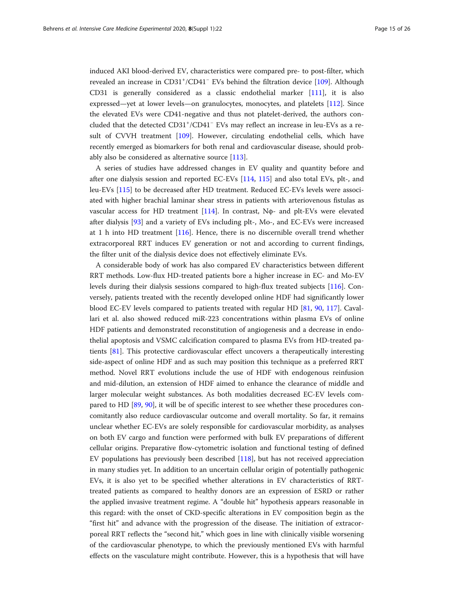induced AKI blood-derived EV, characteristics were compared pre- to post-filter, which revealed an increase in CD31<sup>+</sup>/CD41<sup>-</sup> EVs behind the filtration device [[109\]](#page-24-0). Although CD31 is generally considered as a classic endothelial marker [\[111](#page-24-0)], it is also expressed—yet at lower levels—on granulocytes, monocytes, and platelets [[112\]](#page-24-0). Since the elevated EVs were CD41-negative and thus not platelet-derived, the authors concluded that the detected CD31<sup>+</sup>/CD41<sup>-</sup> EVs may reflect an increase in leu-EVs as a result of CVVH treatment [[109\]](#page-24-0). However, circulating endothelial cells, which have recently emerged as biomarkers for both renal and cardiovascular disease, should probably also be considered as alternative source [[113\]](#page-24-0).

A series of studies have addressed changes in EV quality and quantity before and after one dialysis session and reported EC-EVs [[114,](#page-24-0) [115\]](#page-24-0) and also total EVs, plt-, and leu-EVs [[115\]](#page-24-0) to be decreased after HD treatment. Reduced EC-EVs levels were associated with higher brachial laminar shear stress in patients with arteriovenous fistulas as vascular access for HD treatment [[114](#page-24-0)]. In contrast, Nφ- and plt-EVs were elevated after dialysis [\[93\]](#page-23-0) and a variety of EVs including plt-, Mo-, and EC-EVs were increased at 1 h into HD treatment [\[116](#page-24-0)]. Hence, there is no discernible overall trend whether extracorporeal RRT induces EV generation or not and according to current findings, the filter unit of the dialysis device does not effectively eliminate EVs.

A considerable body of work has also compared EV characteristics between different RRT methods. Low-flux HD-treated patients bore a higher increase in EC- and Mo-EV levels during their dialysis sessions compared to high-flux treated subjects [\[116\]](#page-24-0). Conversely, patients treated with the recently developed online HDF had significantly lower blood EC-EV levels compared to patients treated with regular HD [[81,](#page-23-0) [90,](#page-23-0) [117\]](#page-24-0). Cavallari et al. also showed reduced miR-223 concentrations within plasma EVs of online HDF patients and demonstrated reconstitution of angiogenesis and a decrease in endothelial apoptosis and VSMC calcification compared to plasma EVs from HD-treated patients [\[81](#page-23-0)]. This protective cardiovascular effect uncovers a therapeutically interesting side-aspect of online HDF and as such may position this technique as a preferred RRT method. Novel RRT evolutions include the use of HDF with endogenous reinfusion and mid-dilution, an extension of HDF aimed to enhance the clearance of middle and larger molecular weight substances. As both modalities decreased EC-EV levels compared to HD [\[89](#page-23-0), [90](#page-23-0)], it will be of specific interest to see whether these procedures concomitantly also reduce cardiovascular outcome and overall mortality. So far, it remains unclear whether EC-EVs are solely responsible for cardiovascular morbidity, as analyses on both EV cargo and function were performed with bulk EV preparations of different cellular origins. Preparative flow-cytometric isolation and functional testing of defined EV populations has previously been described [\[118\]](#page-24-0), but has not received appreciation in many studies yet. In addition to an uncertain cellular origin of potentially pathogenic EVs, it is also yet to be specified whether alterations in EV characteristics of RRTtreated patients as compared to healthy donors are an expression of ESRD or rather the applied invasive treatment regime. A "double hit" hypothesis appears reasonable in this regard: with the onset of CKD-specific alterations in EV composition begin as the "first hit" and advance with the progression of the disease. The initiation of extracorporeal RRT reflects the "second hit," which goes in line with clinically visible worsening of the cardiovascular phenotype, to which the previously mentioned EVs with harmful effects on the vasculature might contribute. However, this is a hypothesis that will have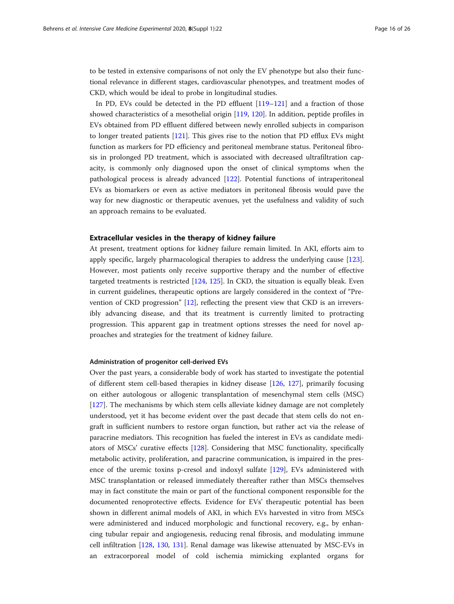to be tested in extensive comparisons of not only the EV phenotype but also their functional relevance in different stages, cardiovascular phenotypes, and treatment modes of CKD, which would be ideal to probe in longitudinal studies.

In PD, EVs could be detected in the PD effluent [[119](#page-24-0)–[121](#page-24-0)] and a fraction of those showed characteristics of a mesothelial origin [\[119,](#page-24-0) [120\]](#page-24-0). In addition, peptide profiles in EVs obtained from PD effluent differed between newly enrolled subjects in comparison to longer treated patients  $[121]$  $[121]$ . This gives rise to the notion that PD efflux EVs might function as markers for PD efficiency and peritoneal membrane status. Peritoneal fibrosis in prolonged PD treatment, which is associated with decreased ultrafiltration capacity, is commonly only diagnosed upon the onset of clinical symptoms when the pathological process is already advanced [[122\]](#page-24-0). Potential functions of intraperitoneal EVs as biomarkers or even as active mediators in peritoneal fibrosis would pave the way for new diagnostic or therapeutic avenues, yet the usefulness and validity of such an approach remains to be evaluated.

# Extracellular vesicles in the therapy of kidney failure

At present, treatment options for kidney failure remain limited. In AKI, efforts aim to apply specific, largely pharmacological therapies to address the underlying cause [[123](#page-24-0)]. However, most patients only receive supportive therapy and the number of effective targeted treatments is restricted [[124,](#page-24-0) [125\]](#page-24-0). In CKD, the situation is equally bleak. Even in current guidelines, therapeutic options are largely considered in the context of "Prevention of CKD progression" [[12\]](#page-20-0), reflecting the present view that CKD is an irreversibly advancing disease, and that its treatment is currently limited to protracting progression. This apparent gap in treatment options stresses the need for novel approaches and strategies for the treatment of kidney failure.

# Administration of progenitor cell-derived EVs

Over the past years, a considerable body of work has started to investigate the potential of different stem cell-based therapies in kidney disease [[126,](#page-24-0) [127\]](#page-24-0), primarily focusing on either autologous or allogenic transplantation of mesenchymal stem cells (MSC) [[127\]](#page-24-0). The mechanisms by which stem cells alleviate kidney damage are not completely understood, yet it has become evident over the past decade that stem cells do not engraft in sufficient numbers to restore organ function, but rather act via the release of paracrine mediators. This recognition has fueled the interest in EVs as candidate mediators of MSCs' curative effects [[128](#page-24-0)]. Considering that MSC functionality, specifically metabolic activity, proliferation, and paracrine communication, is impaired in the presence of the uremic toxins p-cresol and indoxyl sulfate [[129](#page-24-0)], EVs administered with MSC transplantation or released immediately thereafter rather than MSCs themselves may in fact constitute the main or part of the functional component responsible for the documented renoprotective effects. Evidence for EVs' therapeutic potential has been shown in different animal models of AKI, in which EVs harvested in vitro from MSCs were administered and induced morphologic and functional recovery, e.g., by enhancing tubular repair and angiogenesis, reducing renal fibrosis, and modulating immune cell infiltration [\[128](#page-24-0), [130,](#page-24-0) [131](#page-25-0)]. Renal damage was likewise attenuated by MSC-EVs in an extracorporeal model of cold ischemia mimicking explanted organs for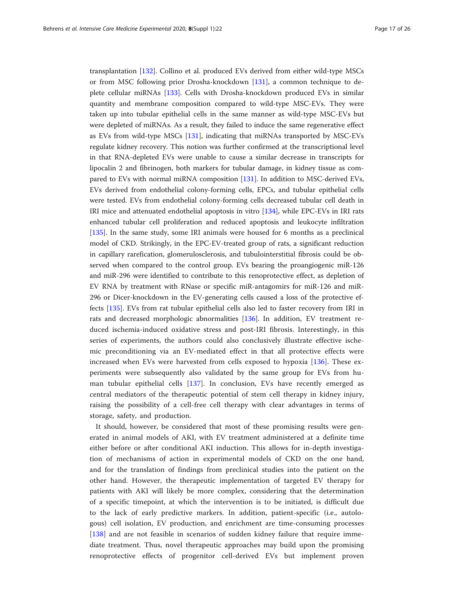transplantation [\[132\]](#page-25-0). Collino et al. produced EVs derived from either wild-type MSCs or from MSC following prior Drosha-knockdown [[131\]](#page-25-0), a common technique to deplete cellular miRNAs [\[133](#page-25-0)]. Cells with Drosha-knockdown produced EVs in similar quantity and membrane composition compared to wild-type MSC-EVs. They were taken up into tubular epithelial cells in the same manner as wild-type MSC-EVs but were depleted of miRNAs. As a result, they failed to induce the same regenerative effect as EVs from wild-type MSCs [\[131](#page-25-0)], indicating that miRNAs transported by MSC-EVs regulate kidney recovery. This notion was further confirmed at the transcriptional level in that RNA-depleted EVs were unable to cause a similar decrease in transcripts for lipocalin 2 and fibrinogen, both markers for tubular damage, in kidney tissue as compared to EVs with normal miRNA composition [[131\]](#page-25-0). In addition to MSC-derived EVs, EVs derived from endothelial colony-forming cells, EPCs, and tubular epithelial cells were tested. EVs from endothelial colony-forming cells decreased tubular cell death in IRI mice and attenuated endothelial apoptosis in vitro [[134\]](#page-25-0), while EPC-EVs in IRI rats enhanced tubular cell proliferation and reduced apoptosis and leukocyte infiltration [[135\]](#page-25-0). In the same study, some IRI animals were housed for 6 months as a preclinical model of CKD. Strikingly, in the EPC-EV-treated group of rats, a significant reduction in capillary rarefication, glomerulosclerosis, and tubulointerstitial fibrosis could be observed when compared to the control group. EVs bearing the proangiogenic miR-126 and miR-296 were identified to contribute to this renoprotective effect, as depletion of EV RNA by treatment with RNase or specific miR-antagomirs for miR-126 and miR-296 or Dicer-knockdown in the EV-generating cells caused a loss of the protective effects [[135\]](#page-25-0). EVs from rat tubular epithelial cells also led to faster recovery from IRI in rats and decreased morphologic abnormalities [[136](#page-25-0)]. In addition, EV treatment reduced ischemia-induced oxidative stress and post-IRI fibrosis. Interestingly, in this series of experiments, the authors could also conclusively illustrate effective ischemic preconditioning via an EV-mediated effect in that all protective effects were increased when EVs were harvested from cells exposed to hypoxia [\[136](#page-25-0)]. These experiments were subsequently also validated by the same group for EVs from human tubular epithelial cells [\[137\]](#page-25-0). In conclusion, EVs have recently emerged as central mediators of the therapeutic potential of stem cell therapy in kidney injury, raising the possibility of a cell-free cell therapy with clear advantages in terms of storage, safety, and production.

It should, however, be considered that most of these promising results were generated in animal models of AKI, with EV treatment administered at a definite time either before or after conditional AKI induction. This allows for in-depth investigation of mechanisms of action in experimental models of CKD on the one hand, and for the translation of findings from preclinical studies into the patient on the other hand. However, the therapeutic implementation of targeted EV therapy for patients with AKI will likely be more complex, considering that the determination of a specific timepoint, at which the intervention is to be initiated, is difficult due to the lack of early predictive markers. In addition, patient-specific (i.e., autologous) cell isolation, EV production, and enrichment are time-consuming processes [[138\]](#page-25-0) and are not feasible in scenarios of sudden kidney failure that require immediate treatment. Thus, novel therapeutic approaches may build upon the promising renoprotective effects of progenitor cell-derived EVs but implement proven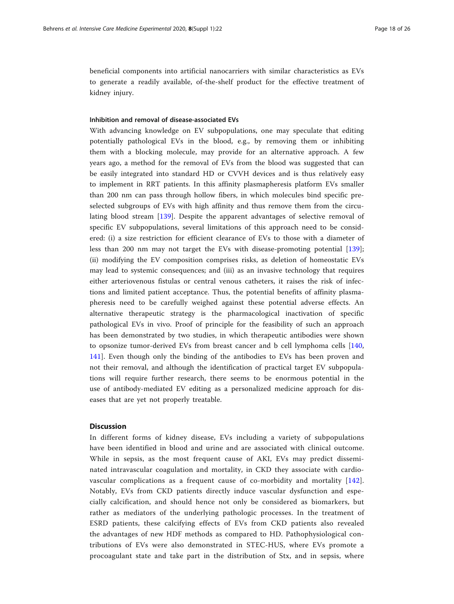beneficial components into artificial nanocarriers with similar characteristics as EVs to generate a readily available, of-the-shelf product for the effective treatment of kidney injury.

# Inhibition and removal of disease-associated EVs

With advancing knowledge on EV subpopulations, one may speculate that editing potentially pathological EVs in the blood, e.g., by removing them or inhibiting them with a blocking molecule, may provide for an alternative approach. A few years ago, a method for the removal of EVs from the blood was suggested that can be easily integrated into standard HD or CVVH devices and is thus relatively easy to implement in RRT patients. In this affinity plasmapheresis platform EVs smaller than 200 nm can pass through hollow fibers, in which molecules bind specific preselected subgroups of EVs with high affinity and thus remove them from the circulating blood stream [[139\]](#page-25-0). Despite the apparent advantages of selective removal of specific EV subpopulations, several limitations of this approach need to be considered: (i) a size restriction for efficient clearance of EVs to those with a diameter of less than 200 nm may not target the EVs with disease-promoting potential [\[139](#page-25-0)]; (ii) modifying the EV composition comprises risks, as deletion of homeostatic EVs may lead to systemic consequences; and (iii) as an invasive technology that requires either arteriovenous fistulas or central venous catheters, it raises the risk of infections and limited patient acceptance. Thus, the potential benefits of affinity plasmapheresis need to be carefully weighed against these potential adverse effects. An alternative therapeutic strategy is the pharmacological inactivation of specific pathological EVs in vivo. Proof of principle for the feasibility of such an approach has been demonstrated by two studies, in which therapeutic antibodies were shown to opsonize tumor-derived EVs from breast cancer and b cell lymphoma cells [\[140](#page-25-0), [141\]](#page-25-0). Even though only the binding of the antibodies to EVs has been proven and not their removal, and although the identification of practical target EV subpopulations will require further research, there seems to be enormous potential in the use of antibody-mediated EV editing as a personalized medicine approach for diseases that are yet not properly treatable.

# **Discussion**

In different forms of kidney disease, EVs including a variety of subpopulations have been identified in blood and urine and are associated with clinical outcome. While in sepsis, as the most frequent cause of AKI, EVs may predict disseminated intravascular coagulation and mortality, in CKD they associate with cardiovascular complications as a frequent cause of co-morbidity and mortality [[142](#page-25-0)]. Notably, EVs from CKD patients directly induce vascular dysfunction and especially calcification, and should hence not only be considered as biomarkers, but rather as mediators of the underlying pathologic processes. In the treatment of ESRD patients, these calcifying effects of EVs from CKD patients also revealed the advantages of new HDF methods as compared to HD. Pathophysiological contributions of EVs were also demonstrated in STEC-HUS, where EVs promote a procoagulant state and take part in the distribution of Stx, and in sepsis, where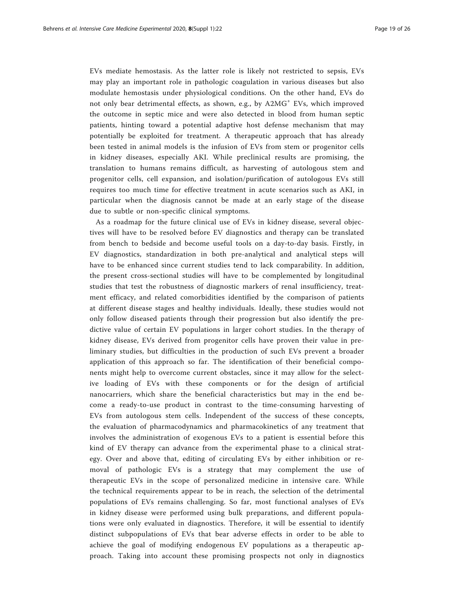EVs mediate hemostasis. As the latter role is likely not restricted to sepsis, EVs may play an important role in pathologic coagulation in various diseases but also modulate hemostasis under physiological conditions. On the other hand, EVs do not only bear detrimental effects, as shown, e.g., by A2MG<sup>+</sup> EVs, which improved the outcome in septic mice and were also detected in blood from human septic patients, hinting toward a potential adaptive host defense mechanism that may potentially be exploited for treatment. A therapeutic approach that has already been tested in animal models is the infusion of EVs from stem or progenitor cells in kidney diseases, especially AKI. While preclinical results are promising, the translation to humans remains difficult, as harvesting of autologous stem and progenitor cells, cell expansion, and isolation/purification of autologous EVs still requires too much time for effective treatment in acute scenarios such as AKI, in particular when the diagnosis cannot be made at an early stage of the disease due to subtle or non-specific clinical symptoms.

As a roadmap for the future clinical use of EVs in kidney disease, several objectives will have to be resolved before EV diagnostics and therapy can be translated from bench to bedside and become useful tools on a day-to-day basis. Firstly, in EV diagnostics, standardization in both pre-analytical and analytical steps will have to be enhanced since current studies tend to lack comparability. In addition, the present cross-sectional studies will have to be complemented by longitudinal studies that test the robustness of diagnostic markers of renal insufficiency, treatment efficacy, and related comorbidities identified by the comparison of patients at different disease stages and healthy individuals. Ideally, these studies would not only follow diseased patients through their progression but also identify the predictive value of certain EV populations in larger cohort studies. In the therapy of kidney disease, EVs derived from progenitor cells have proven their value in preliminary studies, but difficulties in the production of such EVs prevent a broader application of this approach so far. The identification of their beneficial components might help to overcome current obstacles, since it may allow for the selective loading of EVs with these components or for the design of artificial nanocarriers, which share the beneficial characteristics but may in the end become a ready-to-use product in contrast to the time-consuming harvesting of EVs from autologous stem cells. Independent of the success of these concepts, the evaluation of pharmacodynamics and pharmacokinetics of any treatment that involves the administration of exogenous EVs to a patient is essential before this kind of EV therapy can advance from the experimental phase to a clinical strategy. Over and above that, editing of circulating EVs by either inhibition or removal of pathologic EVs is a strategy that may complement the use of therapeutic EVs in the scope of personalized medicine in intensive care. While the technical requirements appear to be in reach, the selection of the detrimental populations of EVs remains challenging. So far, most functional analyses of EVs in kidney disease were performed using bulk preparations, and different populations were only evaluated in diagnostics. Therefore, it will be essential to identify distinct subpopulations of EVs that bear adverse effects in order to be able to achieve the goal of modifying endogenous EV populations as a therapeutic approach. Taking into account these promising prospects not only in diagnostics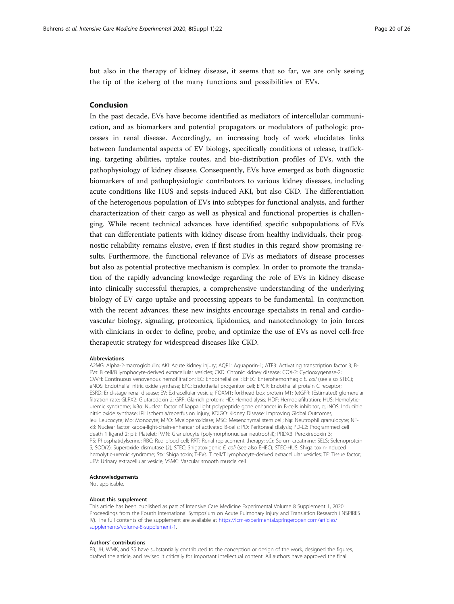but also in the therapy of kidney disease, it seems that so far, we are only seeing the tip of the iceberg of the many functions and possibilities of EVs.

# Conclusion

In the past decade, EVs have become identified as mediators of intercellular communication, and as biomarkers and potential propagators or modulators of pathologic processes in renal disease. Accordingly, an increasing body of work elucidates links between fundamental aspects of EV biology, specifically conditions of release, trafficking, targeting abilities, uptake routes, and bio-distribution profiles of EVs, with the pathophysiology of kidney disease. Consequently, EVs have emerged as both diagnostic biomarkers of and pathophysiologic contributors to various kidney diseases, including acute conditions like HUS and sepsis-induced AKI, but also CKD. The differentiation of the heterogenous population of EVs into subtypes for functional analysis, and further characterization of their cargo as well as physical and functional properties is challenging. While recent technical advances have identified specific subpopulations of EVs that can differentiate patients with kidney disease from healthy individuals, their prognostic reliability remains elusive, even if first studies in this regard show promising results. Furthermore, the functional relevance of EVs as mediators of disease processes but also as potential protective mechanism is complex. In order to promote the translation of the rapidly advancing knowledge regarding the role of EVs in kidney disease into clinically successful therapies, a comprehensive understanding of the underlying biology of EV cargo uptake and processing appears to be fundamental. In conjunction with the recent advances, these new insights encourage specialists in renal and cardiovascular biology, signaling, proteomics, lipidomics, and nanotechnology to join forces with clinicians in order to define, probe, and optimize the use of EVs as novel cell-free therapeutic strategy for widespread diseases like CKD.

# Abbreviations

A2MG: Alpha-2-macroglobulin; AKI: Acute kidney injury; AQP1: Aquaporin-1; ATF3: Activating transcription factor 3; B-EVs: B cell/B lymphocyte-derived extracellular vesicles; CKD: Chronic kidney disease; COX-2: Cyclooxygenase-2; CVVH: Continuous venovenous hemofiltration; EC: Endothelial cell; EHEC: Enterohemorrhagic E. coli (see also STEC); eNOS: Endothelial nitric oxide synthase; EPC: Endothelial progenitor cell; EPCR: Endothelial protein C receptor; ESRD: End-stage renal disease; EV: Extracellular vesicle; FOXM1: forkhead box protein M1; (e)GFR: (Estimated) glomerular filtration rate; GLRX2: Glutaredoxin 2; GRP: Gla-rich protein; HD: Hemodialysis; HDF: Hemodiafiltration; HUS: Hemolyticuremic syndrome; IκBα: Nuclear factor of kappa light polypeptide gene enhancer in B-cells inhibitor, α; iNOS: Inducible nitric oxide synthase; IRI: Ischemia/reperfusion injury; KDIGO: Kidney Disease: Improving Global Outcomes; leu: Leucocyte; Mo: Monocyte; MPO: Myeloperoxidase; MSC: Mesenchymal stem cell; Nφ: Neutrophil granulocyte; NFκB: Nuclear factor kappa-light-chain-enhancer of activated B-cells; PD: Peritoneal dialysis; PD-L2: Programmed cell death 1 ligand 2; plt: Platelet; PMN: Granulocyte (polymorphonuclear neutrophil); PRDX3: Peroxiredoxin 3; PS: Phosphatidylserine; RBC: Red blood cell; RRT: Renal replacement therapy; sCr: Serum creatinine; SELS: Selenoprotein S; SOD(2): Superoxide dismutase (2); STEC: Shigatoxigenic E. coli (see also EHEC); STEC-HUS: Shiga toxin-induced hemolytic-uremic syndrome; Stx: Shiga toxin; T-EVs: T cell/T lymphocyte-derived extracellular vesicles; TF: Tissue factor; uEV: Urinary extracellular vesicle; VSMC: Vascular smooth muscle cell

#### Acknowledgements

Not applicable.

#### About this supplement

This article has been published as part of Intensive Care Medicine Experimental Volume 8 Supplement 1, 2020: Proceedings from the Fourth International Symposium on Acute Pulmonary Injury and Translation Research (INSPIRES IV). The full contents of the supplement are available at [https://icm-experimental.springeropen.com/articles/](https://icm-experimental.springeropen.com/articles/supplements/volume-8-supplement-1) [supplements/volume-8-supplement-1](https://icm-experimental.springeropen.com/articles/supplements/volume-8-supplement-1).

## Authors' contributions

FB, JH, WMK, and SS have substantially contributed to the conception or design of the work, designed the figures, drafted the article, and revised it critically for important intellectual content. All authors have approved the final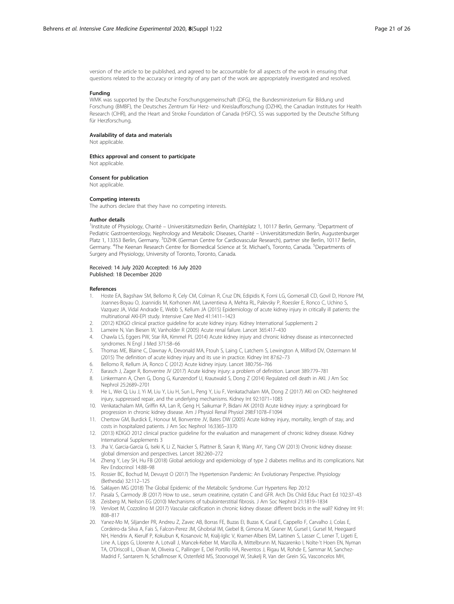<span id="page-20-0"></span>version of the article to be published, and agreed to be accountable for all aspects of the work in ensuring that questions related to the accuracy or integrity of any part of the work are appropriately investigated and resolved.

# Funding

WMK was supported by the Deutsche Forschungsgemeinschaft (DFG), the Bundesministerium für Bildung und Forschung (BMBF), the Deutsches Zentrum für Herz- und Kreislaufforschung (DZHK), the Canadian Institutes for Health Research (CIHR), and the Heart and Stroke Foundation of Canada (HSFC). SS was supported by the Deutsche Stiftung für Herzforschung.

#### Availability of data and materials

Not applicable.

### Ethics approval and consent to participate

Not applicable.

### Consent for publication

Not applicable.

# Competing interests

The authors declare that they have no competing interests.

#### Author details

<sup>1</sup>Institute of Physiology, Charité - Universitätsmedizin Berlin, Charitéplatz 1, 10117 Berlin, Germany. <sup>2</sup>Department of Pediatric Gastroenterology, Nephrology and Metabolic Diseases, Charité – Universitätsmedizin Berlin, Augustenburger Platz 1, 13353 Berlin, Germany. <sup>3</sup>DZHK (German Centre for Cardiovascular Research), partner site Berlin, 10117 Berlin, Germany. <sup>4</sup>The Keenan Research Centre for Biomedical Science at St. Michael's, Toronto, Canada. <sup>5</sup>Departments of Surgery and Physiology, University of Toronto, Toronto, Canada.

#### Received: 14 July 2020 Accepted: 16 July 2020 Published: 18 December 2020

References

- 1. Hoste EA, Bagshaw SM, Bellomo R, Cely CM, Colman R, Cruz DN, Edipidis K, Forni LG, Gomersall CD, Govil D, Honore PM, Joannes-Boyau O, Joannidis M, Korhonen AM, Lavrentieva A, Mehta RL, Palevsky P, Roessler E, Ronco C, Uchino S, Vazquez JA, Vidal Andrade E, Webb S, Kellum JA (2015) Epidemiology of acute kidney injury in critically ill patients: the multinational AKI-EPI study. Intensive Care Med 41:1411–1423
- 2. (2012) KDIGO clinical practice guideline for acute kidney injury. Kidney International Supplements 2
- 3. Lameire N, Van Biesen W, Vanholder R (2005) Acute renal failure. Lancet 365:417–430
- 4. Chawla LS, Eggers PW, Star RA, Kimmel PL (2014) Acute kidney injury and chronic kidney disease as interconnected syndromes. N Engl J Med 371:58–66
- 5. Thomas ME, Blaine C, Dawnay A, Devonald MA, Ftouh S, Laing C, Latchem S, Lewington A, Milford DV, Ostermann M (2015) The definition of acute kidney injury and its use in practice. Kidney Int 87:62–73
- 6. Bellomo R, Kellum JA, Ronco C (2012) Acute kidney injury. Lancet 380:756–766
- 7. Barasch J, Zager R, Bonventre JV (2017) Acute kidney injury: a problem of definition. Lancet 389:779–781
- 8. Linkermann A, Chen G, Dong G, Kunzendorf U, Krautwald S, Dong Z (2014) Regulated cell death in AKI. J Am Soc Nephrol 25:2689–2701
- 9. He L, Wei Q, Liu J, Yi M, Liu Y, Liu H, Sun L, Peng Y, Liu F, Venkatachalam MA, Dong Z (2017) AKI on CKD: heightened injury, suppressed repair, and the underlying mechanisms. Kidney Int 92:1071–1083
- 10. Venkatachalam MA, Griffin KA, Lan R, Geng H, Saikumar P, Bidani AK (2010) Acute kidney injury: a springboard for progression in chronic kidney disease. Am J Physiol Renal Physiol 298:F1078–F1094
- 11. Chertow GM, Burdick E, Honour M, Bonventre JV, Bates DW (2005) Acute kidney injury, mortality, length of stay, and costs in hospitalized patients. J Am Soc Nephrol 16:3365–3370
- 12. (2013) KDIGO 2012 clinical practice guideline for the evaluation and management of chronic kidney disease. Kidney International Supplements 3
- 13. Jha V, Garcia-Garcia G, Iseki K, Li Z, Naicker S, Plattner B, Saran R, Wang AY, Yang CW (2013) Chronic kidney disease: global dimension and perspectives. Lancet 382:260–272
- 14. Zheng Y, Ley SH, Hu FB (2018) Global aetiology and epidemiology of type 2 diabetes mellitus and its complications. Nat Rev Endocrinol 14:88–98
- 15. Rossier BC, Bochud M, Devuyst O (2017) The Hypertension Pandemic: An Evolutionary Perspective. Physiology (Bethesda) 32:112–125
- 16. Saklayen MG (2018) The Global Epidemic of the Metabolic Syndrome. Curr Hypertens Rep 20:12
- 17. Pasala S, Carmody JB (2017) How to use... serum creatinine, cystatin C and GFR. Arch Dis Child Educ Pract Ed 102:37–43
- 18. Zeisberg M, Neilson EG (2010) Mechanisms of tubulointerstitial fibrosis. J Am Soc Nephrol 21:1819–1834
- 19. Vervloet M, Cozzolino M (2017) Vascular calcification in chronic kidney disease: different bricks in the wall? Kidney Int 91: 808–817
- 20. Yanez-Mo M, Siljander PR, Andreu Z, Zavec AB, Borras FE, Buzas EI, Buzas K, Casal E, Cappello F, Carvalho J, Colas E, Cordeiro-da Silva A, Fais S, Falcon-Perez JM, Ghobrial IM, Giebel B, Gimona M, Graner M, Gursel I, Gursel M, Heegaard NH, Hendrix A, Kierulf P, Kokubun K, Kosanovic M, Kralj-Iglic V, Kramer-Albers EM, Laitinen S, Lasser C, Lener T, Ligeti E, Line A, Lipps G, Llorente A, Lotvall J, Mancek-Keber M, Marcilla A, Mittelbrunn M, Nazarenko I, Nolte-'t Hoen EN, Nyman TA, O'Driscoll L, Olivan M, Oliveira C, Pallinger E, Del Portillo HA, Reventos J, Rigau M, Rohde E, Sammar M, Sanchez-Madrid F, Santarem N, Schallmoser K, Ostenfeld MS, Stoorvogel W, Stukelj R, Van der Grein SG, Vasconcelos MH,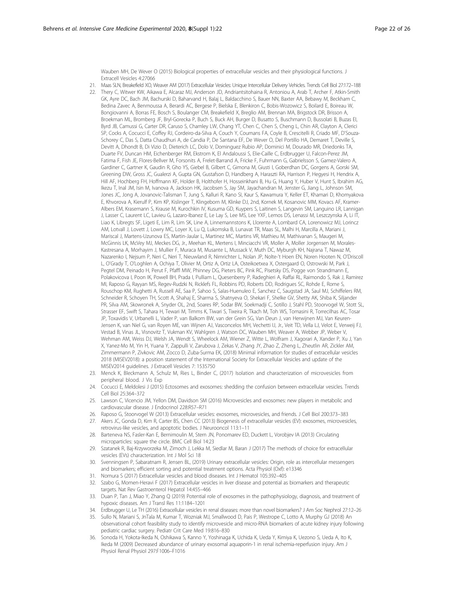Wauben MH, De Wever O (2015) Biological properties of extracellular vesicles and their physiological functions. J Extracell Vesicles 4:27066

- <span id="page-21-0"></span>21. Maas SLN, Breakefield XO, Weaver AM (2017) Extracellular Vesicles: Unique Intercellular Delivery Vehicles. Trends Cell Biol 27:172–188
- 22. Thery C, Witwer KW, Aikawa E, Alcaraz MJ, Anderson JD, Andriantsitohaina R, Antoniou A, Arab T, Archer F, Atkin-Smith GK, Ayre DC, Bach JM, Bachurski D, Baharvand H, Balaj L, Baldacchino S, Bauer NN, Baxter AA, Bebawy M, Beckham C, Bedina Zavec A, Benmoussa A, Berardi AC, Bergese P, Bielska E, Blenkiron C, Bobis-Wozowicz S, Boilard E, Boireau W, Bongiovanni A, Borras FE, Bosch S, Boulanger CM, Breakefield X, Breglio AM, Brennan MA, Brigstock DR, Brisson A, Broekman ML, Bromberg JF, Bryl-Gorecka P, Buch S, Buck AH, Burger D, Busatto S, Buschmann D, Bussolati B, Buzas EI, Byrd JB, Camussi G, Carter DR, Caruso S, Chamley LW, Chang YT, Chen C, Chen S, Cheng L, Chin AR, Clayton A, Clerici SP, Cocks A, Cocucci E, Coffey RJ, Cordeiro-da-Silva A, Couch Y, Coumans FA, Coyle B, Crescitelli R, Criado MF, D'Souza-Schorey C, Das S, Datta Chaudhuri A, de Candia P, De Santana EF, De Wever O, Del Portillo HA, Demaret T, Deville S, Devitt A, Dhondt B, Di Vizio D, Dieterich LC, Dolo V, Dominguez Rubio AP, Dominici M, Dourado MR, Driedonks TA, Duarte FV, Duncan HM, Eichenberger RM, Ekstrom K, El Andaloussi S, Elie-Caille C, Erdbrugger U, Falcon-Perez JM, Fatima F, Fish JE, Flores-Bellver M, Forsonits A, Frelet-Barrand A, Fricke F, Fuhrmann G, Gabrielsson S, Gamez-Valero A, Gardiner C, Gartner K, Gaudin R, Gho YS, Giebel B, Gilbert C, Gimona M, Giusti I, Goberdhan DC, Gorgens A, Gorski SM, Greening DW, Gross JC, Gualerzi A, Gupta GN, Gustafson D, Handberg A, Haraszti RA, Harrison P, Hegyesi H, Hendrix A, Hill AF, Hochberg FH, Hoffmann KF, Holder B, Holthofer H, Hosseinkhani B, Hu G, Huang Y, Huber V, Hunt S, Ibrahim AG, Ikezu T, Inal JM, Isin M, Ivanova A, Jackson HK, Jacobsen S, Jay SM, Jayachandran M, Jenster G, Jiang L, Johnson SM, Jones JC, Jong A, Jovanovic-Talisman T, Jung S, Kalluri R, Kano SI, Kaur S, Kawamura Y, Keller ET, Khamari D, Khomyakova E, Khvorova A, Kierulf P, Kim KP, Kislinger T, Klingeborn M, Klinke DJ, 2nd, Kornek M, Kosanovic MM, Kovacs AF, Kramer-Albers EM, Krasemann S, Krause M, Kurochkin IV, Kusuma GD, Kuypers S, Laitinen S, Langevin SM, Languino LR, Lannigan J, Lasser C, Laurent LC, Lavieu G, Lazaro-Ibanez E, Le Lay S, Lee MS, Lee YXF, Lemos DS, Lenassi M, Leszczynska A, Li IT, Liao K, Libregts SF, Ligeti E, Lim R, Lim SK, Line A, Linnemannstons K, Llorente A, Lombard CA, Lorenowicz MJ, Lorincz AM, Lotvall J, Lovett J, Lowry MC, Loyer X, Lu Q, Lukomska B, Lunavat TR, Maas SL, Malhi H, Marcilla A, Mariani J, Mariscal J, Martens-Uzunova ES, Martin-Jaular L, Martinez MC, Martins VR, Mathieu M, Mathivanan S, Maugeri M, McGinnis LK, McVey MJ, Meckes DG, Jr., Meehan KL, Mertens I, Minciacchi VR, Moller A, Moller Jorgensen M, Morales-Kastresana A, Morhayim J, Mullier F, Muraca M, Musante L, Mussack V, Muth DC, Myburgh KH, Najrana T, Nawaz M, Nazarenko I, Nejsum P, Neri C, Neri T, Nieuwland R, Nimrichter L, Nolan JP, Nolte-'t Hoen EN, Noren Hooten N, O'Driscoll L, O'Grady T, O'Loghlen A, Ochiya T, Olivier M, Ortiz A, Ortiz LA, Osteikoetxea X, Ostergaard O, Ostrowski M, Park J, Pegtel DM, Peinado H, Perut F, Pfaffl MW, Phinney DG, Pieters BC, Pink RC, Pisetsky DS, Pogge von Strandmann E, Polakovicova I, Poon IK, Powell BH, Prada I, Pulliam L, Quesenberry P, Radeghieri A, Raffai RL, Raimondo S, Rak J, Ramirez MI, Raposo G, Rayyan MS, Regev-Rudzki N, Ricklefs FL, Robbins PD, Roberts DD, Rodrigues SC, Rohde E, Rome S, Rouschop KM, Rughetti A, Russell AE, Saa P, Sahoo S, Salas-Huenuleo E, Sanchez C, Saugstad JA, Saul MJ, Schiffelers RM, Schneider R, Schoyen TH, Scott A, Shahaj E, Sharma S, Shatnyeva O, Shekari F, Shelke GV, Shetty AK, Shiba K, Siljander PR, Silva AM, Skowronek A, Snyder OL, 2nd, Soares RP, Sodar BW, Soekmadji C, Sotillo J, Stahl PD, Stoorvogel W, Stott SL, Strasser EF, Swift S, Tahara H, Tewari M, Timms K, Tiwari S, Tixeira R, Tkach M, Toh WS, Tomasini R, Torrecilhas AC, Tosar JP, Toxavidis V, Urbanelli L, Vader P, van Balkom BW, van der Grein SG, Van Deun J, van Herwijnen MJ, Van Keuren-Jensen K, van Niel G, van Royen ME, van Wijnen AJ, Vasconcelos MH, Vechetti IJ, Jr., Veit TD, Vella LJ, Velot E, Verweij FJ, Vestad B, Vinas JL, Visnovitz T, Vukman KV, Wahlgren J, Watson DC, Wauben MH, Weaver A, Webber JP, Weber V, Wehman AM, Weiss DJ, Welsh JA, Wendt S, Wheelock AM, Wiener Z, Witte L, Wolfram J, Xagorari A, Xander P, Xu J, Yan X, Yanez-Mo M, Yin H, Yuana Y, Zappulli V, Zarubova J, Zekas V, Zhang JY, Zhao Z, Zheng L, Zheutlin AR, Zickler AM, Zimmermann P, Zivkovic AM, Zocco D, Zuba-Surma EK, (2018) Minimal information for studies of extracellular vesicles 2018 (MISEV2018): a position statement of the International Society for Extracellular Vesicles and update of the MISEV2014 guidelines. J Extracell Vesicles 7: 1535750
- 23. Menck K, Bleckmann A, Schulz M, Ries L, Binder C, (2017) Isolation and characterization of microvesicles from peripheral blood. J Vis Exp
- 24. Cocucci E, Meldolesi J (2015) Ectosomes and exosomes: shedding the confusion between extracellular vesicles. Trends Cell Biol 25:364–372
- 25. Lawson C, Vicencio JM, Yellon DM, Davidson SM (2016) Microvesicles and exosomes: new players in metabolic and cardiovascular disease. J Endocrinol 228:R57–R71
- 26. Raposo G, Stoorvogel W (2013) Extracellular vesicles: exosomes, microvesicles, and friends. J Cell Biol 200:373–383
- 27. Akers JC, Gonda D, Kim R, Carter BS, Chen CC (2013) Biogenesis of extracellular vesicles (EV): exosomes, microvesicles, retrovirus-like vesicles, and apoptotic bodies. J Neurooncol 113:1–11
- 28. Barteneva NS, Fasler-Kan E, Bernimoulin M, Stern JN, Ponomarev ED, Duckett L, Vorobjev IA (2013) Circulating microparticles: square the circle. BMC Cell Biol 14:23
- 29. Szatanek R, Baj-Krzyworzeka M, Zimoch J, Lekka M, Siedlar M, Baran J (2017) The methods of choice for extracellular vesicles (EVs) characterization. Int J Mol Sci 18
- 30. Svenningsen P, Sabaratnam R, Jensen BL, (2019) Urinary extracellular vesicles: Origin, role as intercellular messengers and biomarkers; efficient sorting and potential treatment options. Acta Physiol (Oxf): e13346
- 31. Nomura S (2017) Extracellular vesicles and blood diseases. Int J Hematol 105:392–405
- 32. Szabo G, Momen-Heravi F (2017) Extracellular vesicles in liver disease and potential as biomarkers and therapeutic targets. Nat Rev Gastroenterol Hepatol 14:455–466
- 33. Duan P, Tan J, Miao Y, Zhang Q (2019) Potential role of exosomes in the pathophysiology, diagnosis, and treatment of hypoxic diseases. Am J Transl Res 11:1184–1201
- 34. Erdbrugger U, Le TH (2016) Extracellular vesicles in renal diseases: more than novel biomarkers? J Am Soc Nephrol 27:12–26
- 35. Sullo N, Mariani S, JnTala M, Kumar T, Wozniak MJ, Smallwood D, Pais P, Westrope C, Lotto A, Murphy GJ (2018) An observational cohort feasibility study to identify microvesicle and micro-RNA biomarkers of acute kidney injury following pediatric cardiac surgery. Pediatr Crit Care Med 19:816–830
- 36. Sonoda H, Yokota-Ikeda N, Oshikawa S, Kanno Y, Yoshinaga K, Uchida K, Ueda Y, Kimiya K, Uezono S, Ueda A, Ito K, Ikeda M (2009) Decreased abundance of urinary exosomal aquaporin-1 in renal ischemia-reperfusion injury. Am J Physiol Renal Physiol 297:F1006–F1016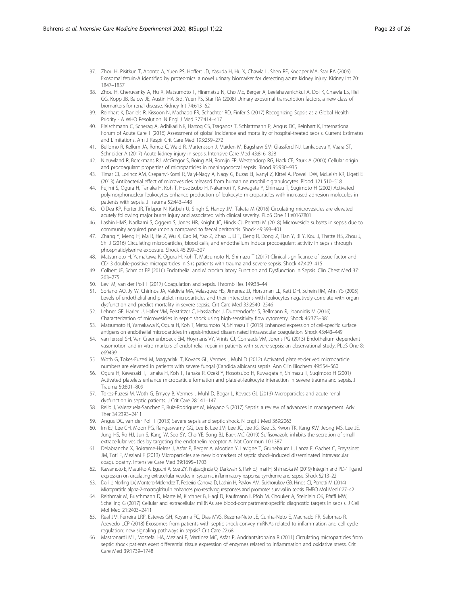- <span id="page-22-0"></span>37. Zhou H, Pisitkun T, Aponte A, Yuen PS, Hoffert JD, Yasuda H, Hu X, Chawla L, Shen RF, Knepper MA, Star RA (2006) Exosomal fetuin-A identified by proteomics: a novel urinary biomarker for detecting acute kidney injury. Kidney Int 70: 1847–1857
- 38. Zhou H, Cheruvanky A, Hu X, Matsumoto T, Hiramatsu N, Cho ME, Berger A, Leelahavanichkul A, Doi K, Chawla LS, Illei GG, Kopp JB, Balow JE, Austin HA 3rd, Yuen PS, Star RA (2008) Urinary exosomal transcription factors, a new class of biomarkers for renal disease. Kidney Int 74:613–621
- 39. Reinhart K, Daniels R, Kissoon N, Machado FR, Schachter RD, Finfer S (2017) Recognizing Sepsis as a Global Health Priority - A WHO Resolution. N Engl J Med 377:414–417
- 40. Fleischmann C, Scherag A, Adhikari NK, Hartog CS, Tsaganos T, Schlattmann P, Angus DC, Reinhart K, International Forum of Acute Care T (2016) Assessment of global incidence and mortality of hospital-treated sepsis. Current Estimates and Limitations. Am J Respir Crit Care Med 193:259–272
- 41. Bellomo R, Kellum JA, Ronco C, Wald R, Martensson J, Maiden M, Bagshaw SM, Glassford NJ, Lankadeva Y, Vaara ST, Schneider A (2017) Acute kidney injury in sepsis. Intensive Care Med 43:816–828
- 42. Nieuwland R, Berckmans RJ, McGregor S, Boing AN, Romijn FP, Westendorp RG, Hack CE, Sturk A (2000) Cellular origin and procoagulant properties of microparticles in meningococcal sepsis. Blood 95:930–935
- 43. Timar CI, Lorincz AM, Csepanyi-Komi R, Valyi-Nagy A, Nagy G, Buzas EI, Ivanyi Z, Kittel A, Powell DW, McLeish KR, Ligeti E (2013) Antibacterial effect of microvesicles released from human neutrophilic granulocytes. Blood 121:510–518
- 44. Fujimi S, Ogura H, Tanaka H, Koh T, Hosotsubo H, Nakamori Y, Kuwagata Y, Shimazu T, Sugimoto H (2002) Activated polymorphonuclear leukocytes enhance production of leukocyte microparticles with increased adhesion molecules in patients with sepsis. J Trauma 52:443–448
- 45. O'Dea KP, Porter JR, Tirlapur N, Katbeh U, Singh S, Handy JM, Takata M (2016) Circulating microvesicles are elevated acutely following major burns injury and associated with clinical severity. PLoS One 11:e0167801
- 46. Lashin HMS, Nadkarni S, Oggero S, Jones HR, Knight JC, Hinds CJ, Perretti M (2018) Microvesicle subsets in sepsis due to community acquired pneumonia compared to faecal peritonitis. Shock 49:393–401
- 47. Zhang Y, Meng H, Ma R, He Z, Wu X, Cao M, Yao Z, Zhao L, Li T, Deng R, Dong Z, Tian Y, Bi Y, Kou J, Thatte HS, Zhou J, Shi J (2016) Circulating microparticles, blood cells, and endothelium induce procoagulant activity in sepsis through phosphatidylserine exposure. Shock 45:299–307
- 48. Matsumoto H, Yamakawa K, Ogura H, Koh T, Matsumoto N, Shimazu T (2017) Clinical significance of tissue factor and CD13 double-positive microparticles in Sirs patients with trauma and severe sepsis. Shock 47:409–415
- 49. Colbert JF, Schmidt EP (2016) Endothelial and Microcirculatory Function and Dysfunction in Sepsis. Clin Chest Med 37: 263–275
- 50. Levi M, van der Poll T (2017) Coagulation and sepsis. Thromb Res 149:38–44
- 51. Soriano AO, Jy W, Chirinos JA, Valdivia MA, Velasquez HS, Jimenez JJ, Horstman LL, Kett DH, Schein RM, Ahn YS (2005) Levels of endothelial and platelet microparticles and their interactions with leukocytes negatively correlate with organ dysfunction and predict mortality in severe sepsis. Crit Care Med 33:2540–2546
- 52. Lehner GF, Harler U, Haller VM, Feistritzer C, Hasslacher J, Dunzendorfer S, Bellmann R, Joannidis M (2016) Characterization of microvesicles in septic shock using high-sensitivity flow cytometry. Shock 46:373–381
- 53. Matsumoto H, Yamakawa K, Ogura H, Koh T, Matsumoto N, Shimazu T (2015) Enhanced expression of cell-specific surface antigens on endothelial microparticles in sepsis-induced disseminated intravascular coagulation. Shock 43:443–449
- 54. van Ierssel SH, Van Craenenbroeck EM, Hoymans VY, Vrints CJ, Conraads VM, Jorens PG (2013) Endothelium dependent vasomotion and in vitro markers of endothelial repair in patients with severe sepsis: an observational study. PLoS One 8: e69499
- 55. Woth G, Tokes-Fuzesi M, Magyarlaki T, Kovacs GL, Vermes I, Muhl D (2012) Activated platelet-derived microparticle numbers are elevated in patients with severe fungal (Candida albicans) sepsis. Ann Clin Biochem 49:554–560
- 56. Ogura H, Kawasaki T, Tanaka H, Koh T, Tanaka R, Ozeki Y, Hosotsubo H, Kuwagata Y, Shimazu T, Sugimoto H (2001) Activated platelets enhance microparticle formation and platelet-leukocyte interaction in severe trauma and sepsis. J Trauma 50:801–809
- 57. Tokes-Fuzesi M, Woth G, Ernyey B, Vermes I, Muhl D, Bogar L, Kovacs GL (2013) Microparticles and acute renal dysfunction in septic patients. J Crit Care 28:141–147
- 58. Rello J, Valenzuela-Sanchez F, Ruiz-Rodriguez M, Moyano S (2017) Sepsis: a review of advances in management. Adv Ther 34:2393–2411
- 59. Angus DC, van der Poll T (2013) Severe sepsis and septic shock. N Engl J Med 369:2063
- 60. Im EJ, Lee CH, Moon PG, Rangaswamy GG, Lee B, Lee JM, Lee JC, Jee JG, Bae JS, Kwon TK, Kang KW, Jeong MS, Lee JE, Jung HS, Ro HJ, Jun S, Kang W, Seo SY, Cho YE, Song BJ, Baek MC (2019) Sulfisoxazole inhibits the secretion of small extracellular vesicles by targeting the endothelin receptor A. Nat Commun 10:1387
- 61. Delabranche X, Boisrame-Helms J, Asfar P, Berger A, Mootien Y, Lavigne T, Grunebaum L, Lanza F, Gachet C, Freyssinet JM, Toti F, Meziani F (2013) Microparticles are new biomarkers of septic shock-induced disseminated intravascular coagulopathy. Intensive Care Med 39:1695–1703
- 62. Kawamoto E, Masui-Ito A, Eguchi A, Soe ZY, Prajuabjinda O, Darkwah S, Park EJ, Imai H, Shimaoka M (2019) Integrin and PD-1 ligand expression on circulating extracellular vesicles in systemic inflammatory response syndrome and sepsis. Shock 52:13–22
- 63. Dalli J, Norling LV, Montero-Melendez T, Federici Canova D, Lashin H, Pavlov AM, Sukhorukov GB, Hinds CJ, Perretti M (2014) Microparticle alpha-2-macroglobulin enhances pro-resolving responses and promotes survival in sepsis. EMBO Mol Med 6:27–42
- 64. Reithmair M, Buschmann D, Marte M, Kirchner B, Hagl D, Kaufmann I, Pfob M, Chouker A, Steinlein OK, Pfaffl MW, Schelling G (2017) Cellular and extracellular miRNAs are blood-compartment-specific diagnostic targets in sepsis. J Cell Mol Med 21:2403–2411
- 65. Real JM, Ferreira LRP, Esteves GH, Koyama FC, Dias MVS, Bezerra-Neto JE, Cunha-Neto E, Machado FR, Salomao R, Azevedo LCP (2018) Exosomes from patients with septic shock convey miRNAs related to inflammation and cell cycle regulation: new signaling pathways in sepsis? Crit Care 22:68
- 66. Mastronardi ML, Mostefai HA, Meziani F, Martinez MC, Asfar P, Andriantsitohaina R (2011) Circulating microparticles from septic shock patients exert differential tissue expression of enzymes related to inflammation and oxidative stress. Crit Care Med 39:1739–1748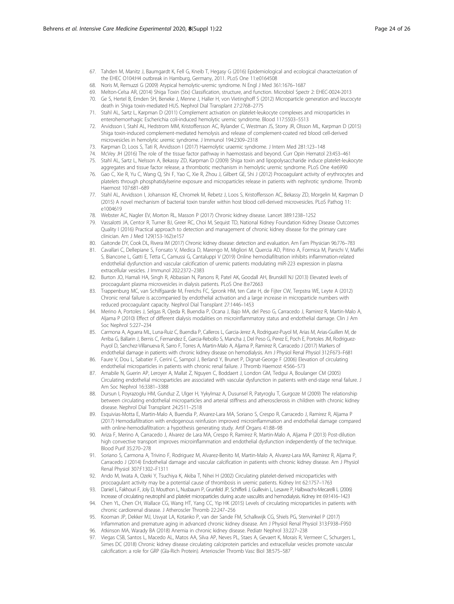- <span id="page-23-0"></span>67. Tahden M, Manitz J, Baumgardt K, Fell G, Kneib T, Hegasy G (2016) Epidemiological and ecological characterization of the EHEC O104:H4 outbreak in Hamburg, Germany, 2011. PLoS One 11:e0164508
- 68. Noris M, Remuzzi G (2009) Atypical hemolytic-uremic syndrome. N Engl J Med 361:1676–1687
- 69. Melton-Celsa AR, (2014) Shiga Toxin (Stx) Classification, structure, and function. Microbiol Spectr 2: EHEC-0024-2013
- 70. Ge S, Hertel B, Emden SH, Beneke J, Menne J, Haller H, von Vietinghoff S (2012) Microparticle generation and leucocyte death in Shiga toxin-mediated HUS. Nephrol Dial Transplant 27:2768–2775
- 71. Stahl AL, Sartz L, Karpman D (2011) Complement activation on platelet-leukocyte complexes and microparticles in enterohemorrhagic Escherichia coli-induced hemolytic uremic syndrome. Blood 117:5503–5513
- 72. Arvidsson I, Stahl AL, Hedstrom MM, Kristoffersson AC, Rylander C, Westman JS, Storry JR, Olsson ML, Karpman D (2015) Shiga toxin-induced complement-mediated hemolysis and release of complement-coated red blood cell-derived microvesicles in hemolytic uremic syndrome. J Immunol 194:2309–2318
- 73. Karpman D, Loos S, Tati R, Arvidsson I (2017) Haemolytic uraemic syndrome. J Intern Med 281:123–148
- 74. McVey JH (2016) The role of the tissue factor pathway in haemostasis and beyond. Curr Opin Hematol 23:453–461
- 75. Stahl AL, Sartz L, Nelsson A, Bekassy ZD, Karpman D (2009) Shiga toxin and lipopolysaccharide induce platelet-leukocyte aggregates and tissue factor release, a thrombotic mechanism in hemolytic uremic syndrome. PLoS One 4:e6990
- 76. Gao C, Xie R, Yu C, Wang Q, Shi F, Yao C, Xie R, Zhou J, Gilbert GE, Shi J (2012) Procoagulant activity of erythrocytes and platelets through phosphatidylserine exposure and microparticles release in patients with nephrotic syndrome. Thromb Haemost 107:681–689
- 77. Stahl AL, Arvidsson I, Johansson KE, Chromek M, Rebetz J, Loos S, Kristoffersson AC, Bekassy ZD, Morgelin M, Karpman D (2015) A novel mechanism of bacterial toxin transfer within host blood cell-derived microvesicles. PLoS Pathog 11:  $-1004619$
- 78. Webster AC, Nagler EV, Morton RL, Masson P (2017) Chronic kidney disease. Lancet 389:1238–1252
- 79. Vassalotti JA, Centor R, Turner BJ, Greer RC, Choi M, Sequist TD, National Kidney Foundation Kidney Disease Outcomes Quality I (2016) Practical approach to detection and management of chronic kidney disease for the primary care clinician. Am J Med 129(153-162):e157
- 80. Gaitonde DY, Cook DL, Rivera IM (2017) Chronic kidney disease: detection and evaluation. Am Fam Physician 96:776–783
- 81. Cavallari C, Dellepiane S, Fonsato V, Medica D, Marengo M, Migliori M, Quercia AD, Pitino A, Formica M, Panichi V, Maffei S, Biancone L, Gatti E, Tetta C, Camussi G, Cantaluppi V (2019) Online hemodiafiltration inhibits inflammation-related endothelial dysfunction and vascular calcification of uremic patients modulating miR-223 expression in plasma extracellular vesicles. J Immunol 202:2372–2383
- 82. Burton JO, Hamali HA, Singh R, Abbasian N, Parsons R, Patel AK, Goodall AH, Brunskill NJ (2013) Elevated levels of procoagulant plasma microvesicles in dialysis patients. PLoS One 8:e72663
- 83. Trappenburg MC, van Schilfgaarde M, Frerichs FC, Spronk HM, ten Cate H, de Fijter CW, Terpstra WE, Leyte A (2012) Chronic renal failure is accompanied by endothelial activation and a large increase in microparticle numbers with reduced procoagulant capacity. Nephrol Dial Transplant 27:1446–1453
- 84. Merino A, Portoles J, Selgas R, Ojeda R, Buendia P, Ocana J, Bajo MA, del Peso G, Carracedo J, Ramirez R, Martin-Malo A, Aljama P (2010) Effect of different dialysis modalities on microinflammatory status and endothelial damage. Clin J Am Soc Nephrol 5:227–234
- 85. Carmona A, Aguera ML, Luna-Ruiz C, Buendia P, Calleros L, Garcia-Jerez A, Rodriguez-Puyol M, Arias M, Arias-Guillen M, de Arriba G, Ballarin J, Bernis C, Fernandez E, Garcia-Rebollo S, Mancha J, Del Peso G, Perez E, Poch E, Portoles JM, Rodriguez-Puyol D, Sanchez-Villanueva R, Sarro F, Torres A, Martin-Malo A, Aljama P, Ramirez R, Carracedo J (2017) Markers of endothelial damage in patients with chronic kidney disease on hemodialysis. Am J Physiol Renal Physiol 312:F673–F681
- 86. Faure V, Dou L, Sabatier F, Cerini C, Sampol J, Berland Y, Brunet P, Dignat-George F (2006) Elevation of circulating endothelial microparticles in patients with chronic renal failure. J Thromb Haemost 4:566–573
- 87. Amabile N, Guerin AP, Leroyer A, Mallat Z, Nguyen C, Boddaert J, London GM, Tedgui A, Boulanger CM (2005) Circulating endothelial microparticles are associated with vascular dysfunction in patients with end-stage renal failure. J Am Soc Nephrol 16:3381–3388
- 88. Dursun I, Poyrazoglu HM, Gunduz Z, Ulger H, Yykylmaz A, Dusunsel R, Patyroglu T, Gurgoze M (2009) The relationship between circulating endothelial microparticles and arterial stiffness and atherosclerosis in children with chronic kidney disease. Nephrol Dial Transplant 24:2511–2518
- 89. Esquivias-Motta E, Martin-Malo A, Buendia P, Alvarez-Lara MA, Soriano S, Crespo R, Carracedo J, Ramirez R, Aljama P (2017) Hemodiafiltration with endogenous reinfusion improved microinflammation and endothelial damage compared with online-hemodiafiltration: a hypothesis generating study. Artif Organs 41:88–98
- 90. Ariza F, Merino A, Carracedo J, Alvarez de Lara MA, Crespo R, Ramirez R, Martin-Malo A, Aljama P (2013) Post-dilution high convective transport improves microinflammation and endothelial dysfunction independently of the technique. Blood Purif 35:270–278
- 91. Soriano S, Carmona A, Trivino F, Rodriguez M, Alvarez-Benito M, Martin-Malo A, Alvarez-Lara MA, Ramirez R, Aljama P, Carracedo J (2014) Endothelial damage and vascular calcification in patients with chronic kidney disease. Am J Physiol Renal Physiol 307:F1302–F1311
- 92. Ando M, Iwata A, Ozeki Y, Tsuchiya K, Akiba T, Nihei H (2002) Circulating platelet-derived microparticles with procoagulant activity may be a potential cause of thrombosis in uremic patients. Kidney Int 62:1757–1763
- 93. Daniel L, Fakhouri F, Joly D, Mouthon L, Nusbaum P, Grunfeld JP, Schifferli J, Guillevin L, Lesavre P, Halbwachs-Mecarelli L (2006) Increase of circulating neutrophil and platelet microparticles during acute vasculitis and hemodialysis. Kidney Int 69:1416–1423
- 94. Chen YL, Chen CH, Wallace CG, Wang HT, Yang CC, Yip HK (2015) Levels of circulating microparticles in patients with chronic cardiorenal disease. J Atheroscler Thromb 22:247–256
- 95. Kooman JP, Dekker MJ, Usvyat LA, Kotanko P, van der Sande FM, Schalkwijk CG, Shiels PG, Stenvinkel P (2017) Inflammation and premature aging in advanced chronic kidney disease. Am J Physiol Renal Physiol 313:F938–F950 96. Atkinson MA, Warady BA (2018) Anemia in chronic kidney disease. Pediatr Nephrol 33:227–238
- 97. Viegas CSB, Santos L, Macedo AL, Matos AA, Silva AP, Neves PL, Staes A, Gevaert K, Morais R, Vermeer C, Schurgers L, Simes DC (2018) Chronic kidney disease circulating calciprotein particles and extracellular vesicles promote vascular calcification: a role for GRP (Gla-Rich Protein). Arterioscler Thromb Vasc Biol 38:575–587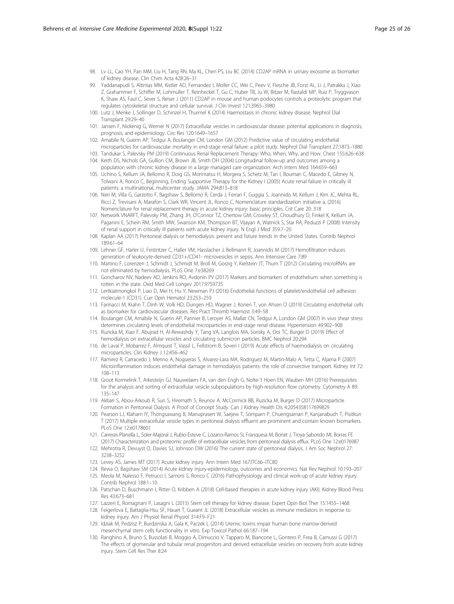- <span id="page-24-0"></span>98. Lv LL, Cao YH, Pan MM, Liu H, Tang RN, Ma KL, Chen PS, Liu BC (2014) CD2AP mRNA in urinary exosome as biomarker of kidney disease. Clin Chim Acta 428:26–31
- 99. Yaddanapudi S, Altintas MM, Kistler AD, Fernandez I, Moller CC, Wei C, Peev V, Flesche JB, Forst AL, Li J, Patrakka J, Xiao Z, Grahammer F, Schiffer M, Lohmuller T, Reinheckel T, Gu C, Huber TB, Ju W, Bitzer M, Rastaldi MP, Ruiz P, Tryggvason K, Shaw AS, Faul C, Sever S, Reiser J (2011) CD2AP in mouse and human podocytes controls a proteolytic program that regulates cytoskeletal structure and cellular survival. J Clin Invest 121:3965–3980
- 100. Lutz J, Menke J, Sollinger D, Schinzel H, Thurmel K (2014) Haemostasis in chronic kidney disease. Nephrol Dial Transplant 29:29–40
- 101. Jansen F, Nickenig G, Werner N (2017) Extracellular vesicles in cardiovascular disease: potential applications in diagnosis, prognosis, and epidemiology. Circ Res 120:1649–1657
- 102. Amabile N, Guerin AP, Tedgui A, Boulanger CM, London GM (2012) Predictive value of circulating endothelial microparticles for cardiovascular mortality in end-stage renal failure: a pilot study. Nephrol Dial Transplant 27:1873–1880
- 103. Tandukar S, Palevsky PM (2019) Continuous Renal Replacement Therapy: Who, When, Why, and How. Chest 155:626–638
- 104. Keith DS, Nichols GA, Gullion CM, Brown JB, Smith DH (2004) Longitudinal follow-up and outcomes among a population with chronic kidney disease in a large managed care organization. Arch Intern Med 164:659–663
- 105. Uchino S, Kellum JA, Bellomo R, Doig GS, Morimatsu H, Morgera S, Schetz M, Tan I, Bouman C, Macedo E, Gibney N, Tolwani A, Ronco C, Beginning, Ending Supportive Therapy for the Kidney I (2005) Acute renal failure in critically ill patients: a multinational, multicenter study. JAMA 294:813–818
- 106. Neri M, Villa G, Garzotto F, Bagshaw S, Bellomo R, Cerda J, Ferrari F, Guggia S, Joannidis M, Kellum J, Kim JC, Mehta RL, Ricci Z, Trevisani A, Marafon S, Clark WR, Vincent JL, Ronco C, Nomenclature standardization initiative a, (2016) Nomenclature for renal replacement therapy in acute kidney injury: basic principles. Crit Care 20: 318
- 107. Network VNARFT, Palevsky PM, Zhang JH, O'Connor TZ, Chertow GM, Crowley ST, Choudhury D, Finkel K, Kellum JA, Paganini E, Schein RM, Smith MW, Swanson KM, Thompson BT, Vijayan A, Watnick S, Star RA, Peduzzi P (2008) Intensity of renal support in critically ill patients with acute kidney injury. N Engl J Med 359:7–20
- 108. Kaplan AA (2017) Peritoneal dialysis or hemodialysis: present and future trends in the United States. Contrib Nephrol 189:61–64
- 109. Lehner GF, Harler U, Feistritzer C, Haller VM, Hasslacher J, Bellmann R, Joannidis M (2017) Hemofiltration induces generation of leukocyte-derived CD31+/CD41- microvesicles in sepsis. Ann Intensive Care 7:89
- 110. Martino F, Lorenzen J, Schmidt J, Schmidt M, Broll M, Gorzig Y, Kielstein JT, Thum T (2012) Circulating microRNAs are not eliminated by hemodialysis. PLoS One 7:e38269
- 111. Goncharov NV, Nadeev AD, Jenkins RO, Avdonin PV (2017) Markers and biomarkers of endothelium: when something is rotten in the state. Oxid Med Cell Longev 2017:9759735
- 112. Lertkiatmongkol P, Liao D, Mei H, Hu Y, Newman PJ (2016) Endothelial functions of platelet/endothelial cell adhesion molecule-1 (CD31). Curr Opin Hematol 23:253–259
- 113. Farinacci M, Krahn T, Dinh W, Volk HD, Dungen HD, Wagner J, Konen T, von Ahsen O (2019) Circulating endothelial cells as biomarker for cardiovascular diseases. Res Pract Thromb Haemost 3:49–58
- 114. Boulanger CM, Amabile N, Guerin AP, Pannier B, Leroyer AS, Mallat CN, Tedgui A, London GM (2007) In vivo shear stress determines circulating levels of endothelial microparticles in end-stage renal disease. Hypertension 49:902–908
- 115. Ruzicka M, Xiao F, Abujrad H, Al-Rewashdy Y, Tang VA, Langlois MA, Sorisky A, Ooi TC, Burger D (2019) Effect of hemodialysis on extracellular vesicles and circulating submicron particles. BMC Nephrol 20:294
- 116. de Laval P, Mobarrez F, Almquist T, Vassil L, Fellstrom B, Soveri I (2019) Acute effects of haemodialysis on circulating microparticles. Clin Kidney J 12:456–462
- 117. Ramirez R, Carracedo J, Merino A, Nogueras S, Alvarez-Lara MA, Rodriguez M, Martin-Malo A, Tetta C, Aljama P (2007) Microinflammation induces endothelial damage in hemodialysis patients: the role of convective transport. Kidney Int 72: 108–113
- 118. Groot Kormelink T, Arkesteijn GJ, Nauwelaers FA, van den Engh G, Nolte-'t Hoen EN, Wauben MH (2016) Prerequisites for the analysis and sorting of extracellular vesicle subpopulations by high-resolution flow cytometry. Cytometry A 89: 135–147
- 119. Akbari S, Abou-Arkoub R, Sun S, Hiremath S, Reunov A, McCormick BB, Ruzicka M, Burger D (2017) Microparticle Formation in Peritoneal Dialysis: A Proof of Concept Study. Can J Kidney Health Dis 4:2054358117699829
- 120. Pearson LJ, Klaharn IY, Thongsawang B, Manuprasert W, Saejew T, Somparn P, Chuengsaman P, Kanjanabuch T, Pisitkun T (2017) Multiple extracellular vesicle types in peritoneal dialysis effluent are prominent and contain known biomarkers. PLoS One 12:e0178601
- 121. Carreras-Planella L, Soler-Majoral J, Rubio-Esteve C, Lozano-Ramos SI, Franquesa M, Bonet J, Troya-Saborido MI, Borras FE (2017) Characterization and proteomic profile of extracellular vesicles from peritoneal dialysis efflux. PLoS One 12:e0176987
- 122. Mehrotra R, Devuyst O, Davies SJ, Johnson DW (2016) The current state of peritoneal dialysis. J Am Soc Nephrol 27: 3238–3252
- 123. Levey AS, James MT (2017) Acute kidney injury. Ann Intern Med 167:ITC66–ITC80
- 124. Rewa O, Bagshaw SM (2014) Acute kidney injury-epidemiology, outcomes and economics. Nat Rev Nephrol 10:193–207
- 125. Meola M, Nalesso F, Petrucci I, Samoni S, Ronco C (2016) Pathophysiology and clinical work-up of acute kidney injury. Contrib Nephrol 188:1–10
- 126. Patschan D, Buschmann I, Ritter O, Kribben A (2018) Cell-based therapies in acute kidney injury (AKI). Kidney Blood Press Res 43:673–681
- 127. Lazzeri E, Romagnani P, Lasagni L (2015) Stem cell therapy for kidney disease. Expert Opin Biol Ther 15:1455–1468
- 128. Feigerlova E, Battaglia-Hsu SF, Hauet T, Gueant JL (2018) Extracellular vesicles as immune mediators in response to kidney injury. Am J Physiol Renal Physiol 314:F9–F21
- 129. Idziak M, Pedzisz P, Burdzinska A, Gala K, Paczek L (2014) Uremic toxins impair human bone marrow-derived mesenchymal stem cells functionality in vitro. Exp Toxicol Pathol 66:187–194
- 130. Ranghino A, Bruno S, Bussolati B, Moggio A, Dimuccio V, Tapparo M, Biancone L, Gontero P, Frea B, Camussi G (2017) The effects of glomerular and tubular renal progenitors and derived extracellular vesicles on recovery from acute kidney injury. Stem Cell Res Ther 8:24